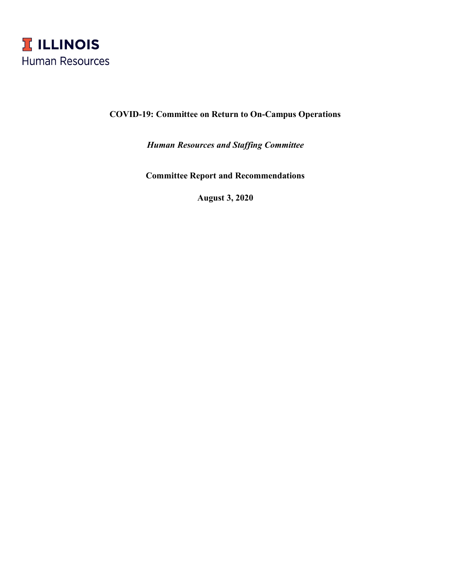

# **COVID-19: Committee on Return to On-Campus Operations**

*Human Resources and Staffing Committee*

**Committee Report and Recommendations**

**August 3, 2020**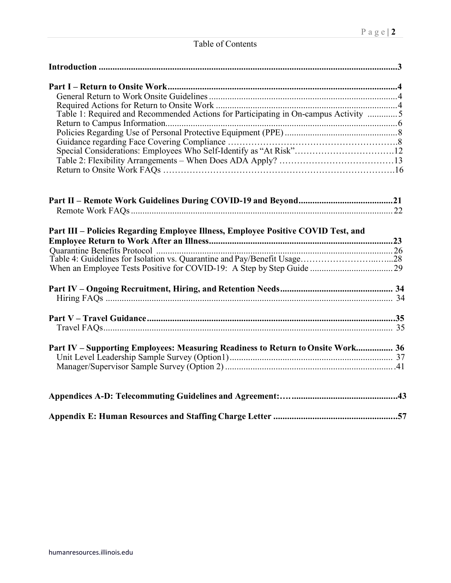# Table of Contents

| Table 1: Required and Recommended Actions for Participating in On-campus Activity 5 |
|-------------------------------------------------------------------------------------|
|                                                                                     |
| Part III - Policies Regarding Employee Illness, Employee Positive COVID Test, and   |
|                                                                                     |
|                                                                                     |
| Part IV – Supporting Employees: Measuring Readiness to Return to Onsite Work 36     |
|                                                                                     |
|                                                                                     |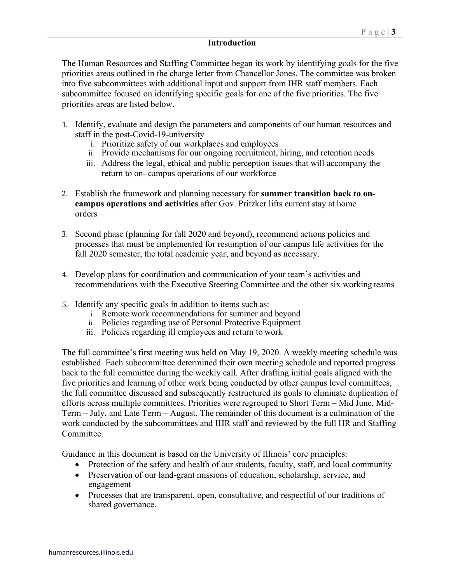#### **Introduction**

The Human Resources and Staffing Committee began its work by identifying goals for the five priorities areas outlined in the charge letter from Chancellor Jones. The committee was broken into five subcommittees with additional input and support from IHR staff members. Each subcommittee focused on identifying specific goals for one of the five priorities. The five priorities areas are listed below.

- 1. Identify, evaluate and design the parameters and components of our human resources and staff in the post-Covid-19-university
	- i. Prioritize safety of our workplaces and employees
	- ii. Provide mechanisms for our ongoing recruitment, hiring, and retention needs
	- iii. Address the legal, ethical and public perception issues that will accompany the return to on- campus operations of our workforce
- 2. Establish the framework and planning necessary for **summer transition back to oncampus operations and activities** after Gov. Pritzker lifts current stay at home orders
- 3. Second phase (planning for fall 2020 and beyond), recommend actions policies and processes that must be implemented for resumption of our campus life activities for the fall 2020 semester, the total academic year, and beyond as necessary.
- 4. Develop plans for coordination and communication of your team's activities and recommendations with the Executive Steering Committee and the other six working teams
- 5. Identify any specific goals in addition to items such as:
	- i. Remote work recommendations for summer and beyond
	- ii. Policies regarding use of Personal Protective Equipment
	- iii. Policies regarding ill employees and return to work

The full committee's first meeting was held on May 19, 2020. A weekly meeting schedule was established. Each subcommittee determined their own meeting schedule and reported progress back to the full committee during the weekly call. After drafting initial goals aligned with the five priorities and learning of other work being conducted by other campus level committees, the full committee discussed and subsequently restructured its goals to eliminate duplication of efforts across multiple committees. Priorities were regrouped to Short Term – Mid June, Mid-Term – July, and Late Term – August. The remainder of this document is a culmination of the work conducted by the subcommittees and IHR staff and reviewed by the full HR and Staffing Committee.

Guidance in this document is based on the University of Illinois' core principles:

- Protection of the safety and health of our students, faculty, staff, and local community
- Preservation of our land-grant missions of education, scholarship, service, and engagement
- Processes that are transparent, open, consultative, and respectful of our traditions of shared governance.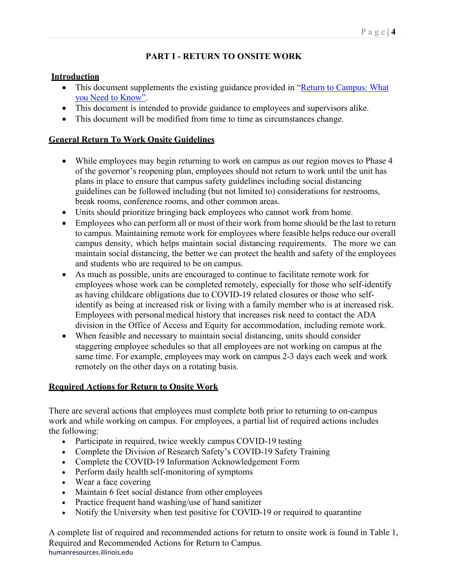# **PART I - RETURN TO ONSITE WORK**

# **Introduction**

- This document supplements the existing guidance provided in "Return to Campus: What [you Need to Know".](https://covid19.illinois.edu/return-to-campus-what-you-need-to-know/)
- This document is intended to provide guidance to employees and supervisors alike.
- This document will be modified from time to time as circumstances change.

# **General Return To Work Onsite Guidelines**

- While employees may begin returning to work on campus as our region moves to Phase 4 of the governor's reopening plan, employees should not return to work until the unit has plans in place to ensure that campus safety guidelines including social distancing guidelines can be followed including (but not limited to) considerations for restrooms, break rooms, conference rooms, and other common areas.
- Units should prioritize bringing back employees who cannot work from home.
- Employees who can perform all or most of their work from home should be the last to return to campus. Maintaining remote work for employees where feasible helps reduce our overall campus density, which helps maintain social distancing requirements. The more we can maintain social distancing, the better we can protect the health and safety of the employees and students who are required to be on campus.
- As much as possible, units are encouraged to continue to facilitate remote work for employees whose work can be completed remotely, especially for those who self-identify as having childcare obligations due to COVID-19 related closures or those who selfidentify as being at increased risk or living with a family member who is at increased risk. Employees with personalmedical history that increases risk need to contact the ADA division in the Office of Access and Equity for accommodation, including remote work.
- When feasible and necessary to maintain social distancing, units should consider staggering employee schedules so that all employees are not working on campus at the same time. For example, employees may work on campus 2-3 days each week and work remotely on the other days on a rotating basis.

# **Required Actions for Return to Onsite Work**

There are several actions that employees must complete both prior to returning to on-campus work and while working on campus. For employees, a partial list of required actions includes the following:

- Participate in required, twice weekly campus COVID-19 testing
- Complete the Division of Research Safety's COVID-19 Safety Training
- Complete the COVID-19 Information Acknowledgement Form
- Perform daily health self-monitoring of symptoms
- Wear a face covering
- Maintain 6 feet social distance from other employees
- Practice frequent hand washing/use of hand sanitizer
- Notify the University when test positive for COVID-19 or required to quarantine

humanresources.illinois.edu A complete list of required and recommended actions for return to onsite work is found in Table 1, Required and Recommended Actions for Return to Campus.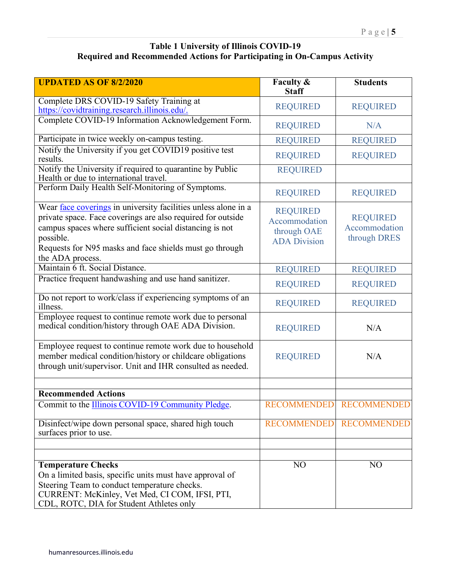### **Table 1 University of Illinois COVID-19 Required and Recommended Actions for Participating in On-Campus Activity**

| <b>UPDATED AS OF 8/2/2020</b>                                                                                                                                                                                                                                                        | Faculty &<br><b>Staff</b>                                              | <b>Students</b>                                  |
|--------------------------------------------------------------------------------------------------------------------------------------------------------------------------------------------------------------------------------------------------------------------------------------|------------------------------------------------------------------------|--------------------------------------------------|
| Complete DRS COVID-19 Safety Training at                                                                                                                                                                                                                                             | <b>REQUIRED</b>                                                        | <b>REQUIRED</b>                                  |
| https://covidtraining.research.illinois.edu/.                                                                                                                                                                                                                                        |                                                                        |                                                  |
| Complete COVID-19 Information Acknowledgement Form.                                                                                                                                                                                                                                  | <b>REQUIRED</b>                                                        | N/A                                              |
| Participate in twice weekly on-campus testing.                                                                                                                                                                                                                                       | <b>REQUIRED</b>                                                        | <b>REQUIRED</b>                                  |
| Notify the University if you get COVID19 positive test<br>results.                                                                                                                                                                                                                   | <b>REQUIRED</b>                                                        | <b>REQUIRED</b>                                  |
| Notify the University if required to quarantine by Public<br>Health or due to international travel.                                                                                                                                                                                  | <b>REQUIRED</b>                                                        |                                                  |
| Perform Daily Health Self-Monitoring of Symptoms.                                                                                                                                                                                                                                    | <b>REQUIRED</b>                                                        | <b>REQUIRED</b>                                  |
| Wear face coverings in university facilities unless alone in a<br>private space. Face coverings are also required for outside<br>campus spaces where sufficient social distancing is not<br>possible.<br>Requests for N95 masks and face shields must go through<br>the ADA process. | <b>REQUIRED</b><br>Accommodation<br>through OAE<br><b>ADA Division</b> | <b>REQUIRED</b><br>Accommodation<br>through DRES |
| Maintain 6 ft. Social Distance.                                                                                                                                                                                                                                                      | <b>REQUIRED</b>                                                        | <b>REQUIRED</b>                                  |
| Practice frequent handwashing and use hand sanitizer.                                                                                                                                                                                                                                | <b>REQUIRED</b>                                                        | <b>REQUIRED</b>                                  |
| Do not report to work/class if experiencing symptoms of an<br>illness.                                                                                                                                                                                                               | <b>REQUIRED</b>                                                        | <b>REQUIRED</b>                                  |
| Employee request to continue remote work due to personal<br>medical condition/history through OAE ADA Division.                                                                                                                                                                      | <b>REQUIRED</b>                                                        | N/A                                              |
| Employee request to continue remote work due to household<br>member medical condition/history or childcare obligations<br>through unit/supervisor. Unit and IHR consulted as needed.                                                                                                 | <b>REQUIRED</b>                                                        | N/A                                              |
|                                                                                                                                                                                                                                                                                      |                                                                        |                                                  |
| <b>Recommended Actions</b><br>Commit to the Illinois COVID-19 Community Pledge.                                                                                                                                                                                                      |                                                                        | RECOMMENDED RECOMMENDED                          |
|                                                                                                                                                                                                                                                                                      |                                                                        |                                                  |
| Disinfect/wipe down personal space, shared high touch<br>surfaces prior to use.                                                                                                                                                                                                      | <b>RECOMMENDED</b>                                                     | <b>RECOMMENDED</b>                               |
|                                                                                                                                                                                                                                                                                      |                                                                        |                                                  |
|                                                                                                                                                                                                                                                                                      |                                                                        |                                                  |
| <b>Temperature Checks</b><br>On a limited basis, specific units must have approval of<br>Steering Team to conduct temperature checks.<br>CURRENT: McKinley, Vet Med, CI COM, IFSI, PTI,<br>CDL, ROTC, DIA for Student Athletes only                                                  | NO                                                                     | N <sub>O</sub>                                   |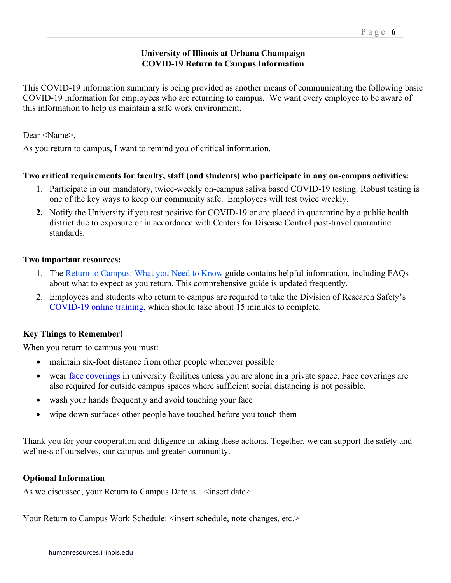### **University of Illinois at Urbana Champaign COVID-19 Return to Campus Information**

This COVID-19 information summary is being provided as another means of communicating the following basic COVID-19 information for employees who are returning to campus. We want every employee to be aware of this information to help us maintain a safe work environment.

Dear <Name>,

As you return to campus, I want to remind you of critical information.

### **Two critical requirements for faculty, staff (and students) who participate in any on-campus activities:**

- 1. Participate in our mandatory, twice-weekly on-campus saliva based COVID-19 testing. Robust testing is one of the key ways to keep our community safe. Employees will test twice weekly.
- **2.** Notify the University if you test positive for COVID-19 or are placed in quarantine by a public health district due to exposure or in accordance with Centers for Disease Control post-travel quarantine standards.

### **Two important resources:**

- 1. The Return to Campus: [What you Need to Know g](https://covid19.illinois.edu/return-to-campus-what-you-need-to-know/)uide contains helpful information, including FAQs about what to expect as you return. This comprehensive guide is updated frequently.
- 2. Employees and students who return to campus are required to take the [Division of Research](https://shibboleth.research.illinois.edu/V2/EDS/Default.aspx?d=dXJsPWh0dHBzJTNhJTJmJTJmb3ZjcnBvcnRhbC5yZXNlYXJjaC5pbGxpbm9pcy5lZHUlMmZUcmFpbmluZyUyZk92ZXJ2aWV3LmFzcHglM2ZUcmFpbmluZ0lkJTNkMjk1JnB1YmxpYz10cnVl) Safety's [COVID-19 online training,](https://covidtraining.research.illinois.edu/) which should take about 15 minutes to complete.

### **Key Things to Remember!**

When you return to campus you must:

- maintain six-foot distance from other people whenever possible
- wear [face coverings](https://covid19.illinois.edu/face-coverings/) in university facilities unless you are alone in a private space. Face coverings are also required for outside campus spaces where sufficient social distancing is not possible.
- wash your hands frequently and avoid touching your face
- wipe down surfaces other people have touched before you touch them

Thank you for your cooperation and diligence in taking these actions. Together, we can support the safety and wellness of ourselves, our campus and greater community.

#### **Optional Information**

As we discussed, your Return to Campus Date is <insert date>

Your Return to Campus Work Schedule: <insert schedule, note changes, etc.>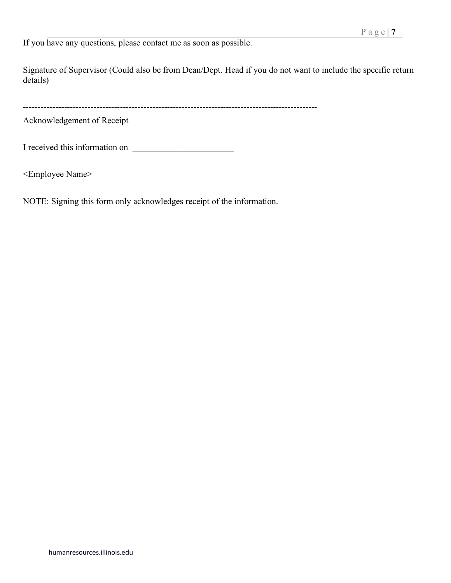If you have any questions, please contact me as soon as possible.

Signature of Supervisor (Could also be from Dean/Dept. Head if you do not want to include the specific return details)

----------------------------------------------------------------------------------------------------

Acknowledgement of Receipt

I received this information on

<Employee Name>

NOTE: Signing this form only acknowledges receipt of the information.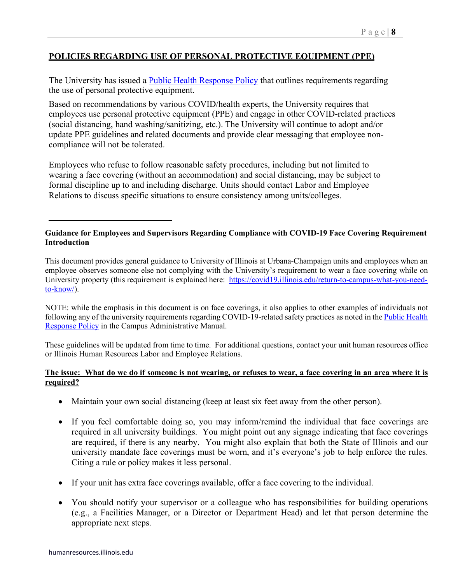### **POLICIES REGARDING USE OF PERSONAL PROTECTIVE EQUIPMENT (PPE)**

The University has issued a **Public Health Response Policy** that outlines requirements regarding the use of personal protective equipment.

Based on recommendations by various COVID/health experts, the University requires that employees use personal protective equipment (PPE) and engage in other COVID-related practices (social distancing, hand washing/sanitizing, etc.). The University will continue to adopt and/or update PPE guidelines and related documents and provide clear messaging that employee noncompliance will not be tolerated.

Employees who refuse to follow reasonable safety procedures, including but not limited to wearing a face covering (without an accommodation) and social distancing, may be subject to formal discipline up to and including discharge. Units should contact Labor and Employee Relations to discuss specific situations to ensure consistency among units/colleges.

#### **Guidance for Employees and Supervisors Regarding Compliance with COVID-19 Face Covering Requirement Introduction**

This document provides general guidance to University of Illinois at Urbana-Champaign units and employees when an employee observes someone else not complying with the University's requirement to wear a face covering while on University property (this requirement is explained here: [https://covid19.illinois.edu/return-to-campus-what-you-need](https://covid19.illinois.edu/return-to-campus-what-you-need-to-know/)[to-know/\)](https://covid19.illinois.edu/return-to-campus-what-you-need-to-know/).

NOTE: while the emphasis in this document is on face coverings, it also applies to other examples of individuals not following any of the university requirements regarding COVID-19-related safety practices as noted in th[e Public Health](https://cam.illinois.edu/policies/fo-80r/)  [Response Policy](https://cam.illinois.edu/policies/fo-80r/) in the Campus Administrative Manual.

These guidelines will be updated from time to time. For additional questions, contact your unit human resources office or Illinois Human Resources Labor and Employee Relations.

#### **The issue: What do we do if someone is not wearing, or refuses to wear, a face covering in an area where it is required?**

- Maintain your own social distancing (keep at least six feet away from the other person).
- If you feel comfortable doing so, you may inform/remind the individual that face coverings are required in all university buildings. You might point out any signage indicating that face coverings are required, if there is any nearby. You might also explain that both the State of Illinois and our university mandate face coverings must be worn, and it's everyone's job to help enforce the rules. Citing a rule or policy makes it less personal.
- If your unit has extra face coverings available, offer a face covering to the individual.
- You should notify your supervisor or a colleague who has responsibilities for building operations (e.g., a Facilities Manager, or a Director or Department Head) and let that person determine the appropriate next steps.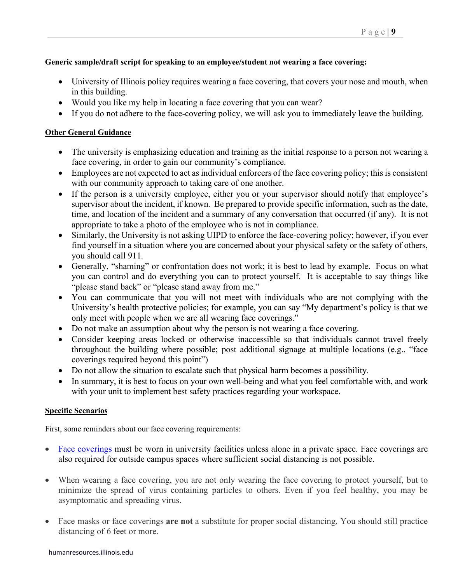#### **Generic sample/draft script for speaking to an employee/student not wearing a face covering:**

- University of Illinois policy requires wearing a face covering, that covers your nose and mouth, when in this building.
- Would you like my help in locating a face covering that you can wear?
- If you do not adhere to the face-covering policy, we will ask you to immediately leave the building.

#### **Other General Guidance**

- The university is emphasizing education and training as the initial response to a person not wearing a face covering, in order to gain our community's compliance.
- Employees are not expected to act as individual enforcers of the face covering policy; this is consistent with our community approach to taking care of one another.
- If the person is a university employee, either you or your supervisor should notify that employee's supervisor about the incident, if known. Be prepared to provide specific information, such as the date, time, and location of the incident and a summary of any conversation that occurred (if any). It is not appropriate to take a photo of the employee who is not in compliance.
- Similarly, the University is not asking UIPD to enforce the face-covering policy; however, if you ever find yourself in a situation where you are concerned about your physical safety or the safety of others, you should call 911.
- Generally, "shaming" or confrontation does not work; it is best to lead by example. Focus on what you can control and do everything you can to protect yourself. It is acceptable to say things like "please stand back" or "please stand away from me."
- You can communicate that you will not meet with individuals who are not complying with the University's health protective policies; for example, you can say "My department's policy is that we only meet with people when we are all wearing face coverings."
- Do not make an assumption about why the person is not wearing a face covering.
- Consider keeping areas locked or otherwise inaccessible so that individuals cannot travel freely throughout the building where possible; post additional signage at multiple locations (e.g., "face coverings required beyond this point")
- Do not allow the situation to escalate such that physical harm becomes a possibility.
- In summary, it is best to focus on your own well-being and what you feel comfortable with, and work with your unit to implement best safety practices regarding your workspace.

#### **Specific Scenarios**

First, some reminders about our face covering requirements:

- [Face coverings](https://covid19.illinois.edu/face-coverings/) must be worn in university facilities unless alone in a private space. Face coverings are also required for outside campus spaces where sufficient social distancing is not possible.
- When wearing a face covering, you are not only wearing the face covering to protect yourself, but to minimize the spread of virus containing particles to others. Even if you feel healthy, you may be asymptomatic and spreading virus.
- Face masks or face coverings **are not** a substitute for proper social distancing. You should still practice distancing of 6 feet or more.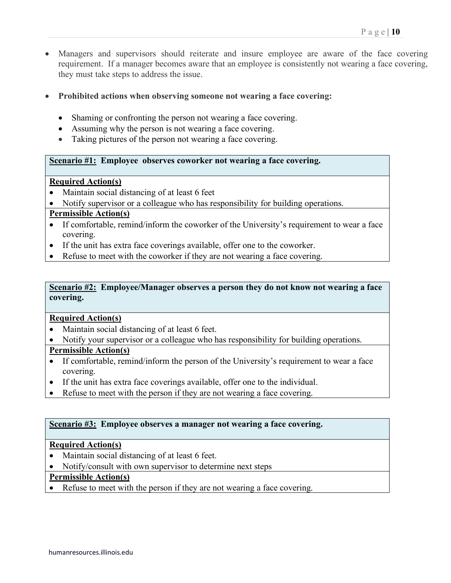- Managers and supervisors should reiterate and insure employee are aware of the face covering requirement. If a manager becomes aware that an employee is consistently not wearing a face covering, they must take steps to address the issue.
- **Prohibited actions when observing someone not wearing a face covering:**
	- Shaming or confronting the person not wearing a face covering.
	- Assuming why the person is not wearing a face covering.
	- Taking pictures of the person not wearing a face covering.

#### **Scenario #1: Employee observes coworker not wearing a face covering.**

#### **Required Action(s)**

- Maintain social distancing of at least 6 feet
- Notify supervisor or a colleague who has responsibility for building operations.

#### **Permissible Action(s)**

- If comfortable, remind/inform the coworker of the University's requirement to wear a face covering.
- If the unit has extra face coverings available, offer one to the coworker.
- Refuse to meet with the coworker if they are not wearing a face covering.

#### **Scenario #2: Employee/Manager observes a person they do not know not wearing a face covering.**

#### **Required Action(s)**

- Maintain social distancing of at least 6 feet.
- Notify your supervisor or a colleague who has responsibility for building operations.

#### **Permissible Action(s)**

- If comfortable, remind/inform the person of the University's requirement to wear a face covering.
- If the unit has extra face coverings available, offer one to the individual.
- Refuse to meet with the person if they are not wearing a face covering.

#### **Scenario #3: Employee observes a manager not wearing a face covering.**

#### **Required Action(s)**

- Maintain social distancing of at least 6 feet.
- Notify/consult with own supervisor to determine next steps

#### **Permissible Action(s)**

• Refuse to meet with the person if they are not wearing a face covering.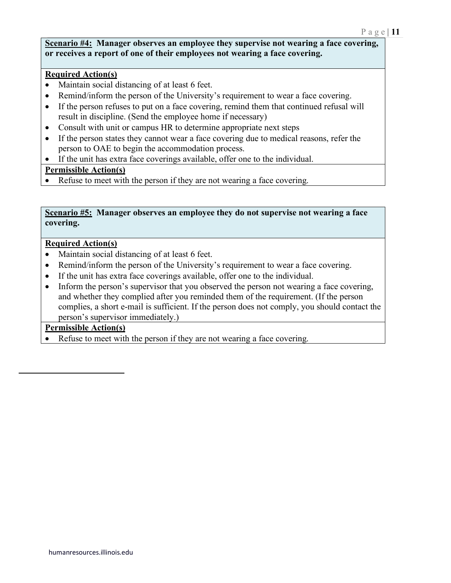#### **Scenario #4: Manager observes an employee they supervise not wearing a face covering, or receives a report of one of their employees not wearing a face covering.**

### **Required Action(s)**

- Maintain social distancing of at least 6 feet.
- Remind/inform the person of the University's requirement to wear a face covering.
- If the person refuses to put on a face covering, remind them that continued refusal will result in discipline. (Send the employee home if necessary)
- Consult with unit or campus HR to determine appropriate next steps
- If the person states they cannot wear a face covering due to medical reasons, refer the person to OAE to begin the accommodation process.
- If the unit has extra face coverings available, offer one to the individual.

### **Permissible Action(s)**

• Refuse to meet with the person if they are not wearing a face covering.

#### **Scenario #5: Manager observes an employee they do not supervise not wearing a face covering.**

### **Required Action(s)**

- Maintain social distancing of at least 6 feet.
- Remind/inform the person of the University's requirement to wear a face covering.
- If the unit has extra face coverings available, offer one to the individual.
- Inform the person's supervisor that you observed the person not wearing a face covering, and whether they complied after you reminded them of the requirement. (If the person complies, a short e-mail is sufficient. If the person does not comply, you should contact the person's supervisor immediately.)

### **Permissible Action(s)**

Refuse to meet with the person if they are not wearing a face covering.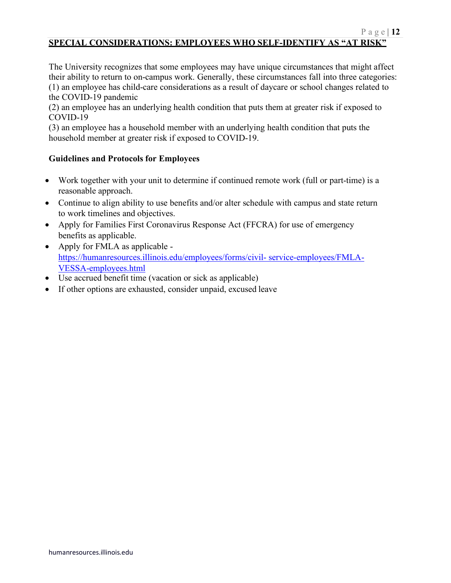# **SPECIAL CONSIDERATIONS: EMPLOYEES WHO SELF-IDENTIFY AS "AT RISK"**

The University recognizes that some employees may have unique circumstances that might affect their ability to return to on-campus work. Generally, these circumstances fall into three categories: (1) an employee has child-care considerations as a result of daycare or school changes related to the COVID-19 pandemic

(2) an employee has an underlying health condition that puts them at greater risk if exposed to COVID-19

(3) an employee has a household member with an underlying health condition that puts the household member at greater risk if exposed to COVID-19.

### **Guidelines and Protocols for Employees**

- Work together with your unit to determine if continued remote work (full or part-time) is a reasonable approach.
- Continue to align ability to use benefits and/or alter schedule with campus and state return to work timelines and objectives.
- Apply for Families First Coronavirus Response Act (FFCRA) for use of emergency benefits as applicable.
- Apply for FMLA as applicable [https://humanresources.illinois.edu/employees/forms/civil-](https://humanresources.illinois.edu/employees/forms/civil-service-employees/FMLA-VESSA-employees.html) [service-employees/FMLA-](https://humanresources.illinois.edu/employees/forms/civil-service-employees/FMLA-VESSA-employees.html)[VESSA-employees.html](https://humanresources.illinois.edu/employees/forms/civil-service-employees/FMLA-VESSA-employees.html)
- Use accrued benefit time (vacation or sick as applicable)
- If other options are exhausted, consider unpaid, excused leave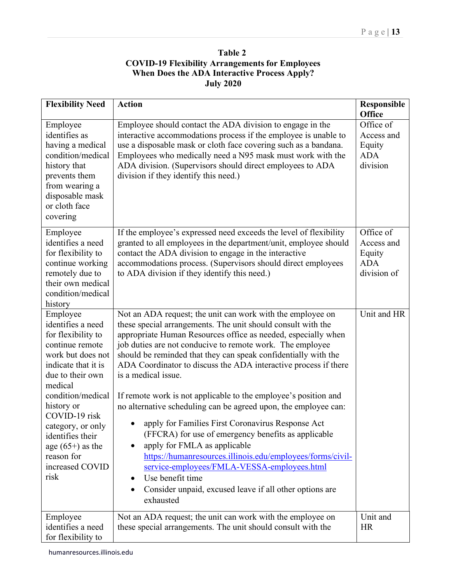| <b>Table 2</b>                                         |
|--------------------------------------------------------|
| <b>COVID-19 Flexibility Arrangements for Employees</b> |
| When Does the ADA Interactive Process Apply?           |
| <b>July 2020</b>                                       |

| <b>Flexibility Need</b>                                                                                                                                                                                                                                                                                       | <b>Action</b>                                                                                                                                                                                                                                                                                                                                                                                                                                                                                                                                                                                                                                                                                                                                                                                                                                                                                                                             | Responsible<br><b>Office</b>                                   |
|---------------------------------------------------------------------------------------------------------------------------------------------------------------------------------------------------------------------------------------------------------------------------------------------------------------|-------------------------------------------------------------------------------------------------------------------------------------------------------------------------------------------------------------------------------------------------------------------------------------------------------------------------------------------------------------------------------------------------------------------------------------------------------------------------------------------------------------------------------------------------------------------------------------------------------------------------------------------------------------------------------------------------------------------------------------------------------------------------------------------------------------------------------------------------------------------------------------------------------------------------------------------|----------------------------------------------------------------|
| Employee<br>identifies as<br>having a medical<br>condition/medical<br>history that<br>prevents them<br>from wearing a<br>disposable mask<br>or cloth face<br>covering                                                                                                                                         | Employee should contact the ADA division to engage in the<br>interactive accommodations process if the employee is unable to<br>use a disposable mask or cloth face covering such as a bandana.<br>Employees who medically need a N95 mask must work with the<br>ADA division. (Supervisors should direct employees to ADA<br>division if they identify this need.)                                                                                                                                                                                                                                                                                                                                                                                                                                                                                                                                                                       | Office of<br>Access and<br>Equity<br><b>ADA</b><br>division    |
| Employee<br>identifies a need<br>for flexibility to<br>continue working<br>remotely due to<br>their own medical<br>condition/medical<br>history                                                                                                                                                               | If the employee's expressed need exceeds the level of flexibility<br>granted to all employees in the department/unit, employee should<br>contact the ADA division to engage in the interactive<br>accommodations process. (Supervisors should direct employees<br>to ADA division if they identify this need.)                                                                                                                                                                                                                                                                                                                                                                                                                                                                                                                                                                                                                            | Office of<br>Access and<br>Equity<br><b>ADA</b><br>division of |
| Employee<br>identifies a need<br>for flexibility to<br>continue remote<br>work but does not<br>indicate that it is<br>due to their own<br>medical<br>condition/medical<br>history or<br>COVID-19 risk<br>category, or only<br>identifies their<br>age $(65+)$ as the<br>reason for<br>increased COVID<br>risk | Not an ADA request; the unit can work with the employee on<br>these special arrangements. The unit should consult with the<br>appropriate Human Resources office as needed, especially when<br>job duties are not conducive to remote work. The employee<br>should be reminded that they can speak confidentially with the<br>ADA Coordinator to discuss the ADA interactive process if there<br>is a medical issue.<br>If remote work is not applicable to the employee's position and<br>no alternative scheduling can be agreed upon, the employee can:<br>apply for Families First Coronavirus Response Act<br>(FFCRA) for use of emergency benefits as applicable<br>apply for FMLA as applicable<br>https://humanresources.illinois.edu/employees/forms/civil-<br>service-employees/FMLA-VESSA-employees.html<br>Use benefit time<br>$\bullet$<br>Consider unpaid, excused leave if all other options are<br>$\bullet$<br>exhausted | Unit and HR                                                    |
| Employee<br>identifies a need<br>for flexibility to                                                                                                                                                                                                                                                           | Not an ADA request; the unit can work with the employee on<br>these special arrangements. The unit should consult with the                                                                                                                                                                                                                                                                                                                                                                                                                                                                                                                                                                                                                                                                                                                                                                                                                | Unit and<br><b>HR</b>                                          |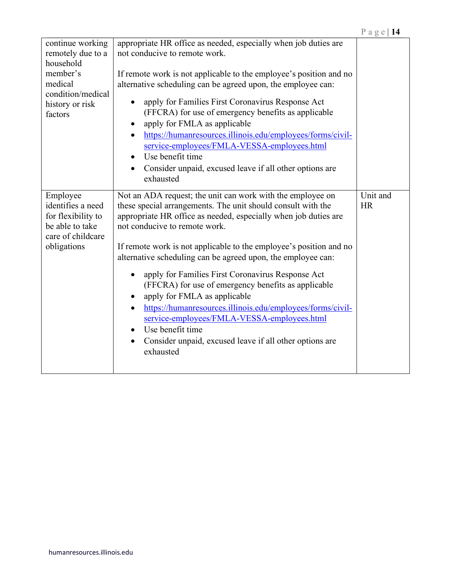| continue working<br>remotely due to a<br>household<br>member's<br>medical<br>condition/medical<br>history or risk<br>factors | appropriate HR office as needed, especially when job duties are<br>not conducive to remote work.<br>If remote work is not applicable to the employee's position and no<br>alternative scheduling can be agreed upon, the employee can:<br>apply for Families First Coronavirus Response Act<br>$\bullet$<br>(FFCRA) for use of emergency benefits as applicable<br>apply for FMLA as applicable<br>https://humanresources.illinois.edu/employees/forms/civil-<br>$\bullet$<br>service-employees/FMLA-VESSA-employees.html<br>Use benefit time<br>$\bullet$<br>Consider unpaid, excused leave if all other options are<br>$\bullet$<br>exhausted                                                                                                                                    |                       |
|------------------------------------------------------------------------------------------------------------------------------|------------------------------------------------------------------------------------------------------------------------------------------------------------------------------------------------------------------------------------------------------------------------------------------------------------------------------------------------------------------------------------------------------------------------------------------------------------------------------------------------------------------------------------------------------------------------------------------------------------------------------------------------------------------------------------------------------------------------------------------------------------------------------------|-----------------------|
| Employee<br>identifies a need<br>for flexibility to<br>be able to take<br>care of childcare<br>obligations                   | Not an ADA request; the unit can work with the employee on<br>these special arrangements. The unit should consult with the<br>appropriate HR office as needed, especially when job duties are<br>not conducive to remote work.<br>If remote work is not applicable to the employee's position and no<br>alternative scheduling can be agreed upon, the employee can:<br>apply for Families First Coronavirus Response Act<br>$\bullet$<br>(FFCRA) for use of emergency benefits as applicable<br>apply for FMLA as applicable<br>٠<br>https://humanresources.illinois.edu/employees/forms/civil-<br>$\bullet$<br>service-employees/FMLA-VESSA-employees.html<br>Use benefit time<br>$\bullet$<br>Consider unpaid, excused leave if all other options are<br>$\bullet$<br>exhausted | Unit and<br><b>HR</b> |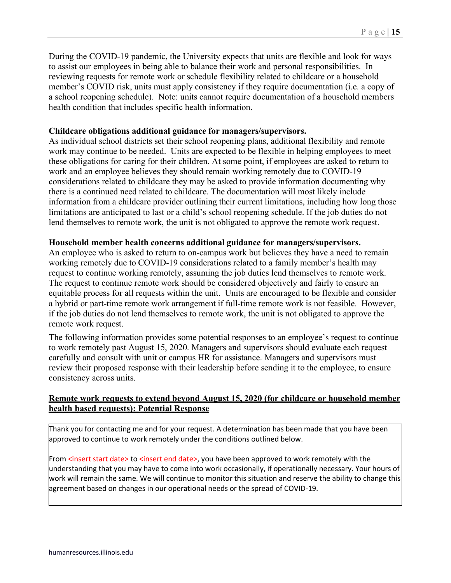During the COVID-19 pandemic, the University expects that units are flexible and look for ways to assist our employees in being able to balance their work and personal responsibilities. In reviewing requests for remote work or schedule flexibility related to childcare or a household member's COVID risk, units must apply consistency if they require documentation (i.e. a copy of a school reopening schedule). Note: units cannot require documentation of a household members health condition that includes specific health information.

#### **Childcare obligations additional guidance for managers/supervisors.**

As individual school districts set their school reopening plans, additional flexibility and remote work may continue to be needed. Units are expected to be flexible in helping employees to meet these obligations for caring for their children. At some point, if employees are asked to return to work and an employee believes they should remain working remotely due to COVID-19 considerations related to childcare they may be asked to provide information documenting why there is a continued need related to childcare. The documentation will most likely include information from a childcare provider outlining their current limitations, including how long those limitations are anticipated to last or a child's school reopening schedule. If the job duties do not lend themselves to remote work, the unit is not obligated to approve the remote work request.

#### **Household member health concerns additional guidance for managers/supervisors.**

An employee who is asked to return to on-campus work but believes they have a need to remain working remotely due to COVID-19 considerations related to a family member's health may request to continue working remotely, assuming the job duties lend themselves to remote work. The request to continue remote work should be considered objectively and fairly to ensure an equitable process for all requests within the unit. Units are encouraged to be flexible and consider a hybrid or part-time remote work arrangement if full-time remote work is not feasible. However, if the job duties do not lend themselves to remote work, the unit is not obligated to approve the remote work request.

The following information provides some potential responses to an employee's request to continue to work remotely past August 15, 2020. Managers and supervisors should evaluate each request carefully and consult with unit or campus HR for assistance. Managers and supervisors must review their proposed response with their leadership before sending it to the employee, to ensure consistency across units.

### **Remote work requests to extend beyond August 15, 2020 (for childcare or household member health based requests): Potential Response**

Thank you for contacting me and for your request. A determination has been made that you have been approved to continue to work remotely under the conditions outlined below.

From <insert start date> to <insert end date>, you have been approved to work remotely with the understanding that you may have to come into work occasionally, if operationally necessary. Your hours of work will remain the same. We will continue to monitor this situation and reserve the ability to change this agreement based on changes in our operational needs or the spread of COVID-19.

l l l k f hans de la k f hans de la k hans de la k hans de la k hans de la k hans de la k hans de la k hans de<br>L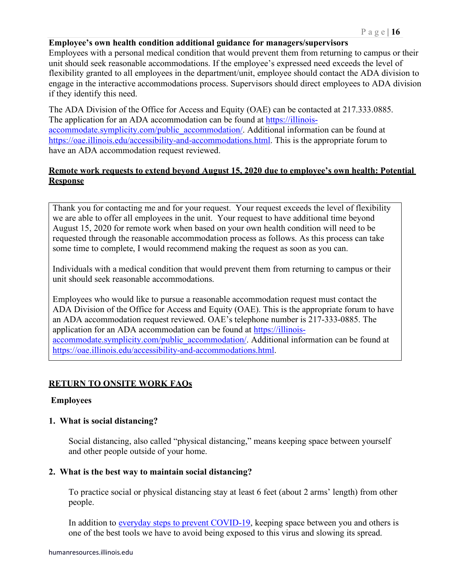#### **Employee's own health condition additional guidance for managers/supervisors**

Employees with a personal medical condition that would prevent them from returning to campus or their unit should seek reasonable accommodations. If the employee's expressed need exceeds the level of flexibility granted to all employees in the department/unit, employee should contact the ADA division to engage in the interactive accommodations process. Supervisors should direct employees to ADA division if they identify this need.

The ADA Division of the Office for Access and Equity (OAE) can be contacted at 217.333.0885. The application for an ADA accommodation can be found at [https://illinois](https://illinois-accommodate.symplicity.com/public_accommodation/)[accommodate.symplicity.com/public\\_accommodation/.](https://illinois-accommodate.symplicity.com/public_accommodation/) Additional information can be found at [https://oae.illinois.edu/accessibility-and-accommodations.html.](https://oae.illinois.edu/accessibility-and-accommodations.html) This is the appropriate forum to have an ADA accommodation request reviewed.

### **Remote work requests to extend beyond August 15, 2020 due to employee's own health: Potential Response**

Thank you for contacting me and for your request. Your request exceeds the level of flexibility we are able to offer all employees in the unit. Your request to have additional time beyond August 15, 2020 for remote work when based on your own health condition will need to be requested through the reasonable accommodation process as follows. As this process can take some time to complete, I would recommend making the request as soon as you can.

Individuals with a medical condition that would prevent them from returning to campus or their unit should seek reasonable accommodations.

Employees who would like to pursue a reasonable accommodation request must contact the ADA Division of the Office for Access and Equity (OAE). This is the appropriate forum to have an ADA accommodation request reviewed. OAE's telephone number is 217-333-0885. The application for an ADA accommodation can be found at [https://illinois](https://illinois-accommodate.symplicity.com/public_accommodation/)[accommodate.symplicity.com/public\\_accommodation/.](https://illinois-accommodate.symplicity.com/public_accommodation/) Additional information can be found at [https://oae.illinois.edu/accessibility-and-accommodations.html.](https://oae.illinois.edu/accessibility-and-accommodations.html)

#### **RETURN TO ONSITE WORK FAQs**

#### **Employees**

#### **1. What is social distancing?**

Social distancing, also called "physical distancing," means keeping space between yourself and other people outside of your home.

#### **2. What is the best way to maintain social distancing?**

To practice social or physical distancing stay at least 6 feet (about 2 arms' length) from other people.

In addition to [everyday steps to prevent COVID-19,](https://www.cdc.gov/coronavirus/2019-ncov/prevent-getting-sick/prevention.html) keeping space between you and others is one of the best tools we have to avoid being exposed to this virus and slowing its spread.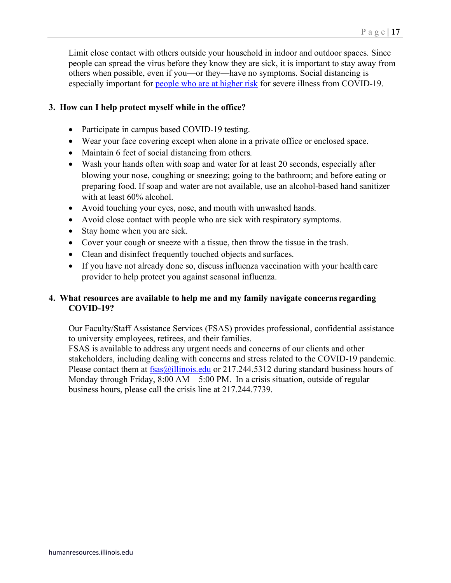Limit close contact with others outside your household in indoor and outdoor spaces. Since people can spread the virus before they know they are sick, it is important to stay away from others when possible, even if you—or they—have no symptoms. Social distancing is especially important for [people who are at higher risk](https://www.cdc.gov/coronavirus/2019-ncov/need-extra-precautions/people-at-higher-risk.html) for severe illness from COVID-19.

### **3. How can I help protect myself while in the office?**

- Participate in campus based COVID-19 testing.
- Wear your face covering except when alone in a private office or enclosed space.
- Maintain 6 feet of social distancing from others.
- Wash your hands often with soap and water for at least 20 seconds, especially after blowing your nose, coughing or sneezing; going to the bathroom; and before eating or preparing food. If soap and water are not available, use an alcohol-based hand sanitizer with at least 60% alcohol.
- Avoid touching your eyes, nose, and mouth with unwashed hands.
- Avoid close contact with people who are sick with respiratory symptoms.
- Stay home when you are sick.
- Cover your cough or sneeze with a tissue, then throw the tissue in the trash.
- Clean and disinfect frequently touched objects and surfaces.
- If you have not already done so, discuss influenza vaccination with your health care provider to help protect you against seasonal influenza.

### **4. What resources are available to help me and my family navigate concerns regarding COVID-19?**

Our Faculty/Staff Assistance Services (FSAS) provides professional, confidential assistance to university employees, retirees, and their families.

FSAS is available to address any urgent needs and concerns of our clients and other stakeholders, including dealing with concerns and stress related to the COVID-19 pandemic. Please contact them at  $f$ sas $@$ illinois.edu or 217.244.5312 during standard business hours of Monday through Friday, 8:00 AM – 5:00 PM. In a crisis situation, outside of regular business hours, please call the crisis line at 217.244.7739.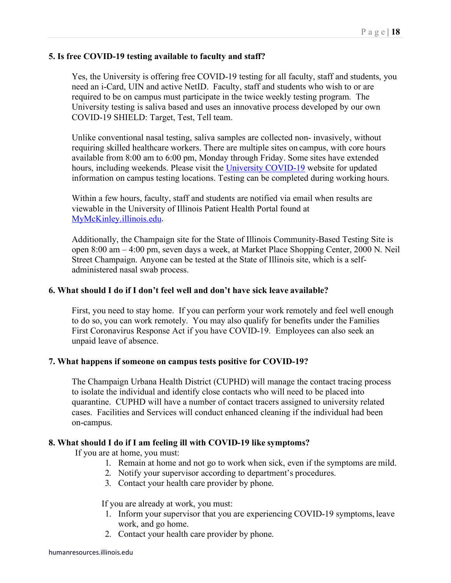### **5. Is free COVID-19 testing available to faculty and staff?**

Yes, the University is offering free COVID-19 testing for all faculty, staff and students, you need an i-Card, UIN and active NetID. Faculty, staff and students who wish to or are required to be on campus must participate in the twice weekly testing program. The University testing is saliva based and uses an innovative process developed by our own COVID-19 SHIELD: Target, Test, Tell team.

Unlike conventional nasal testing, saliva samples are collected non- invasively, without requiring skilled healthcare workers. There are multiple sites on campus, with core hours available from 8:00 am to 6:00 pm, Monday through Friday. Some sites have extended hours, including weekends. Please visit the [University COVID-19](https://covid19.illinois.edu/) website for updated information on campus testing locations. Testing can be completed during working hours.

Within a few hours, faculty, staff and students are notified via email when results are viewable in the University of Illinois Patient Health Portal found at [MyMcKinley.illinois.edu.](https://shibboleth.illinois.edu/idp/profile/SAML2/Redirect/SSO?execution=e3s1)

Additionally, the Champaign site for the State of Illinois Community-Based Testing Site is open 8:00 am – 4:00 pm, seven days a week, at Market Place Shopping Center, 2000 N. Neil Street Champaign. Anyone can be tested at the State of Illinois site, which is a selfadministered nasal swab process.

#### **6. What should I do if I don't feel well and don't have sick leave available?**

First, you need to stay home. If you can perform your work remotely and feel well enough to do so, you can work remotely. You may also qualify for benefits under the Families First Coronavirus Response Act if you have COVID-19. Employees can also seek an unpaid leave of absence.

#### **7. What happens if someone on campus tests positive for COVID-19?**

The Champaign Urbana Health District (CUPHD) will manage the contact tracing process to isolate the individual and identify close contacts who will need to be placed into quarantine. CUPHD will have a number of contact tracers assigned to university related cases. Facilities and Services will conduct enhanced cleaning if the individual had been on-campus.

#### **8. What should I do if I am feeling ill with COVID-19 like symptoms?**

If you are at home, you must:

- 1. Remain at home and not go to work when sick, even if the symptoms are mild.
- 2. Notify your supervisor according to department's procedures.
- 3. Contact your health care provider by phone.

If you are already at work, you must:

- 1. Inform your supervisor that you are experiencing COVID-19 symptoms, leave work, and go home.
- 2. Contact your health care provider by phone.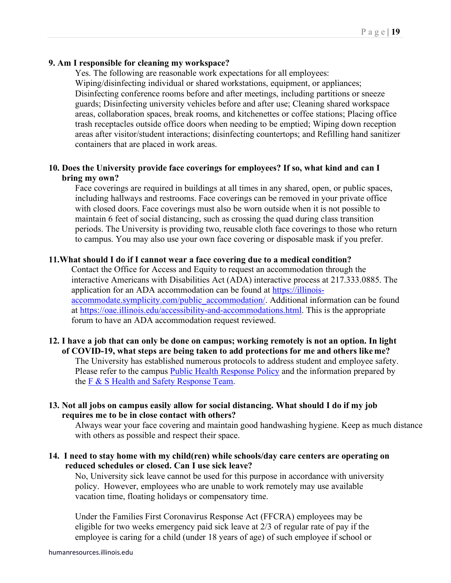### **9. Am I responsible for cleaning my workspace?**

Yes. The following are reasonable work expectations for all employees: Wiping/disinfecting individual or shared workstations, equipment, or appliances; Disinfecting conference rooms before and after meetings, including partitions or sneeze guards; Disinfecting university vehicles before and after use; Cleaning shared workspace areas, collaboration spaces, break rooms, and kitchenettes or coffee stations; Placing office trash receptacles outside office doors when needing to be emptied; Wiping down reception areas after visitor/student interactions; disinfecting countertops; and Refilling hand sanitizer containers that are placed in work areas.

### **10. Does the University provide face coverings for employees? If so, what kind and can I bring my own?**

Face coverings are required in buildings at all times in any shared, open, or public spaces, including hallways and restrooms. Face coverings can be removed in your private office with closed doors. Face coverings must also be worn outside when it is not possible to maintain 6 feet of social distancing, such as crossing the quad during class transition periods. The University is providing two, reusable cloth face coverings to those who return to campus. You may also use your own face covering or disposable mask if you prefer.

#### **11.What should I do if I cannot wear a face covering due to a medical condition?**

Contact the Office for Access and Equity to request an accommodation through the interactive Americans with Disabilities Act (ADA) interactive process at 217.333.0885. The application for an ADA accommodation can be found at [https://illinois](https://illinois-accommodate.symplicity.com/public_accommodation/)[accommodate.symplicity.com/public\\_accommodation/.](https://illinois-accommodate.symplicity.com/public_accommodation/) Additional information can be found at [https://oae.illinois.edu/accessibility-and-accommodations.html.](https://oae.illinois.edu/accessibility-and-accommodations.html) This is the appropriate forum to have an ADA accommodation request reviewed.

### **12. I have a job that can only be done on campus; working remotely is not an option. In light of COVID-19, what steps are being taken to add protections for me and others like me?** The University has established numerous protocols to address student and employee safety. Please refer to the campus [Public Health Response Policy](https://cam.illinois.edu/policies/fo-80r/) and the information prepared by the [F & S Health and Safety Response Team.](https://files.webservices.illinois.edu/9170/fs_healthsafetyresponseteam_covid-19socialdistancing.pdf)

### **13. Not all jobs on campus easily allow for social distancing. What should I do if my job requires me to be in close contact with others?**

Always wear your face covering and maintain good handwashing hygiene. Keep as much distance with others as possible and respect their space.

### **14. I need to stay home with my child(ren) while schools/day care centers are operating on reduced schedules or closed. Can I use sick leave?**

No, University sick leave cannot be used for this purpose in accordance with university policy. However, employees who are unable to work remotely may use available vacation time, floating holidays or compensatory time.

Under the Families First Coronavirus Response Act (FFCRA) employees may be eligible for two weeks emergency paid sick leave at 2/3 of regular rate of pay if the employee is caring for a child (under 18 years of age) of such employee if school or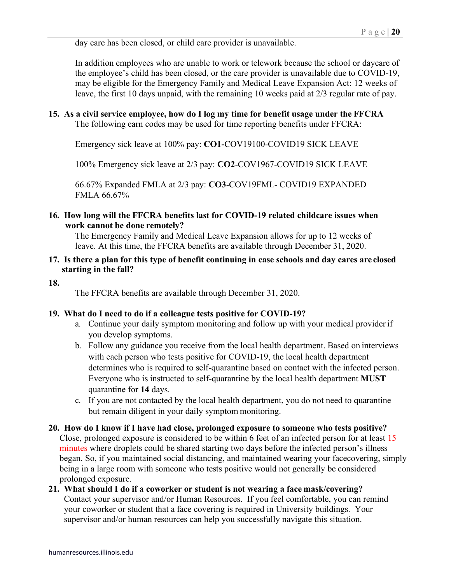day care has been closed, or child care provider is unavailable.

In addition employees who are unable to work or telework because the school or daycare of the employee's child has been closed, or the care provider is unavailable due to COVID-19, may be eligible for the Emergency Family and Medical Leave Expansion Act: 12 weeks of leave, the first 10 days unpaid, with the remaining 10 weeks paid at 2/3 regular rate of pay.

#### **15. As a civil service employee, how do I log my time for benefit usage under the FFCRA** The following earn codes may be used for time reporting benefits under FFCRA:

Emergency sick leave at 100% pay: **CO1-**COV19100-COVID19 SICK LEAVE

100% Emergency sick leave at 2/3 pay: **CO2**-COV1967-COVID19 SICK LEAVE

66.67% Expanded FMLA at 2/3 pay: **CO3**-COV19FML- COVID19 EXPANDED FMLA 66.67%

### **16. How long will the FFCRA benefits last for COVID-19 related childcare issues when work cannot be done remotely?**

The Emergency Family and Medical Leave Expansion allows for up to 12 weeks of leave. At this time, the FFCRA benefits are available through December 31, 2020.

### **17. Is there a plan for this type of benefit continuing in case schools and day cares are closed starting in the fall?**

**18.**

The FFCRA benefits are available through December 31, 2020.

#### **19. What do I need to do if a colleague tests positive for COVID-19?**

- a. Continue your daily symptom monitoring and follow up with your medical provider if you develop symptoms.
- b. Follow any guidance you receive from the local health department. Based on interviews with each person who tests positive for COVID-19, the local health department determines who is required to self-quarantine based on contact with the infected person. Everyone who is instructed to self-quarantine by the local health department **MUST** quarantine for **14** days.
- c. If you are not contacted by the local health department, you do not need to quarantine but remain diligent in your daily symptom monitoring.
- **20. How do I know if I have had close, prolonged exposure to someone who tests positive?**  Close, prolonged exposure is considered to be within 6 feet of an infected person for at least 15 minutes where droplets could be shared starting two days before the infected person's illness began. So, if you maintained social distancing, and maintained wearing your facecovering, simply being in a large room with someone who tests positive would not generally be considered prolonged exposure.
- **21. What should I do if a coworker or student is not wearing a face mask/covering?** Contact your supervisor and/or Human Resources. If you feel comfortable, you can remind your coworker or student that a face covering is required in University buildings. Your supervisor and/or human resources can help you successfully navigate this situation.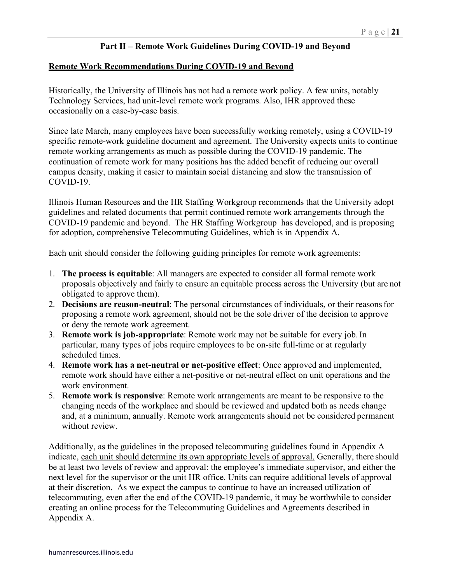#### **Part II – Remote Work Guidelines During COVID-19 and Beyond**

#### **Remote Work Recommendations During COVID-19 and Beyond**

Historically, the University of Illinois has not had a remote work policy. A few units, notably Technology Services, had unit-level remote work programs. Also, IHR approved these occasionally on a case-by-case basis.

Since late March, many employees have been successfully working remotely, using a COVID-19 specific remote-work guideline document and agreement. The University expects units to continue remote working arrangements as much as possible during the COVID-19 pandemic. The continuation of remote work for many positions has the added benefit of reducing our overall campus density, making it easier to maintain social distancing and slow the transmission of COVID-19.

Illinois Human Resources and the HR Staffing Workgroup recommends that the University adopt guidelines and related documents that permit continued remote work arrangements through the COVID-19 pandemic and beyond. The HR Staffing Workgroup has developed, and is proposing for adoption, comprehensive Telecommuting Guidelines, which is in Appendix A.

Each unit should consider the following guiding principles for remote work agreements:

- 1. **The process is equitable**: All managers are expected to consider all formal remote work proposals objectively and fairly to ensure an equitable process across the University (but are not obligated to approve them).
- 2. **Decisions are reason-neutral**: The personal circumstances of individuals, or their reasonsfor proposing a remote work agreement, should not be the sole driver of the decision to approve or deny the remote work agreement.
- 3. **Remote work is job-appropriate**: Remote work may not be suitable for every job.In particular, many types of jobs require employees to be on-site full-time or at regularly scheduled times.
- 4. **Remote work has a net-neutral or net-positive effect**: Once approved and implemented, remote work should have either a net-positive or net-neutral effect on unit operations and the work environment.
- 5. **Remote work is responsive**: Remote work arrangements are meant to be responsive to the changing needs of the workplace and should be reviewed and updated both as needs change and, at a minimum, annually. Remote work arrangements should not be considered permanent without review.

Additionally, as the guidelines in the proposed telecommuting guidelines found in Appendix A indicate, each unit should determine its own appropriate levels of approval. Generally, there should be at least two levels of review and approval: the employee's immediate supervisor, and either the next level for the supervisor or the unit HR office. Units can require additional levels of approval at their discretion. As we expect the campus to continue to have an increased utilization of telecommuting, even after the end of the COVID-19 pandemic, it may be worthwhile to consider creating an online process for the Telecommuting Guidelines and Agreements described in Appendix A.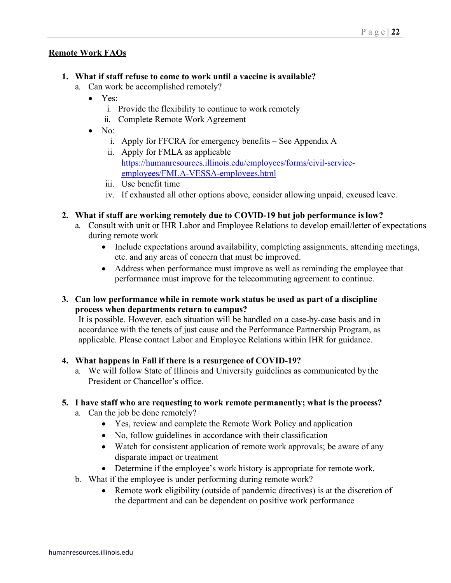### **Remote Work FAQs**

### **1. What if staff refuse to come to work until a vaccine is available?**

- a. Can work be accomplished remotely?
	- Yes:
		- i. Provide the flexibility to continue to work remotely
		- ii. Complete Remote Work Agreement
	- No:
		- i. Apply for FFCRA for emergency benefits See Appendix A
		- ii. Apply for FMLA as applicabl[e](https://humanresources.illinois.edu/employees/forms/civil-service-employees/FMLA-VESSA-employees.html) [https://humanresources.illinois.edu/employees/forms/civil-service](https://humanresources.illinois.edu/employees/forms/civil-service-employees/FMLA-VESSA-employees.html)[employees/FMLA-VESSA-employees.html](https://humanresources.illinois.edu/employees/forms/civil-service-employees/FMLA-VESSA-employees.html)
		- iii. Use benefit time
		- iv. If exhausted all other options above, consider allowing unpaid, excused leave.

### **2. What if staff are working remotely due to COVID-19 but job performance islow?**

- a. Consult with unit or IHR Labor and Employee Relations to develop email/letter of expectations during remote work
	- Include expectations around availability, completing assignments, attending meetings, etc. and any areas of concern that must be improved.
	- Address when performance must improve as well as reminding the employee that performance must improve for the telecommuting agreement to continue.

### **3. Can low performance while in remote work status be used as part of a discipline process when departments return to campus?**

It is possible. However, each situation will be handled on a case-by-case basis and in accordance with the tenets of just cause and the Performance Partnership Program, as applicable. Please contact Labor and Employee Relations within IHR for guidance.

### **4. What happens in Fall if there is a resurgence of COVID-19?**

a. We will follow State of Illinois and University guidelines as communicated by the President or Chancellor's office.

#### **5. I have staff who are requesting to work remote permanently; what is the process?**

- a. Can the job be done remotely?
	- Yes, review and complete the Remote Work Policy and application
	- No, follow guidelines in accordance with their classification
	- Watch for consistent application of remote work approvals; be aware of any disparate impact or treatment
	- Determine if the employee's work history is appropriate for remote work.
- b. What if the employee is under performing during remote work?
	- Remote work eligibility (outside of pandemic directives) is at the discretion of the department and can be dependent on positive work performance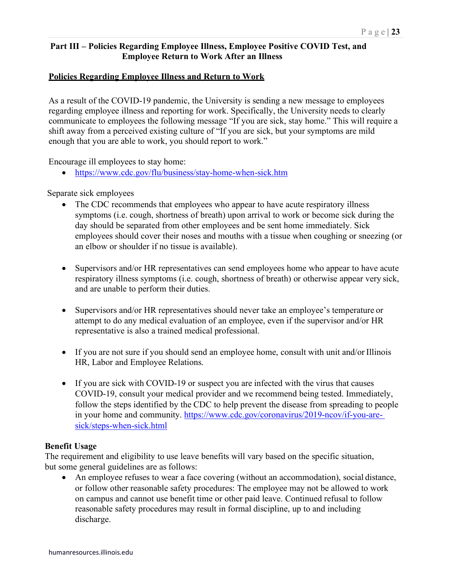# **Part III – Policies Regarding Employee Illness, Employee Positive COVID Test, and Employee Return to Work After an Illness**

### **Policies Regarding Employee Illness and Return to Work**

As a result of the COVID-19 pandemic, the University is sending a new message to employees regarding employee illness and reporting for work. Specifically, the University needs to clearly communicate to employees the following message "If you are sick, stay home." This will require a shift away from a perceived existing culture of "If you are sick, but your symptoms are mild enough that you are able to work, you should report to work."

Encourage ill employees to stay home:

• <https://www.cdc.gov/flu/business/stay-home-when-sick.htm>

Separate sick employees

- The CDC recommends that employees who appear to have acute respiratory illness symptoms (i.e. cough, shortness of breath) upon arrival to work or become sick during the day should be separated from other employees and be sent home immediately. Sick employees should cover their noses and mouths with a tissue when coughing or sneezing (or an elbow or shoulder if no tissue is available).
- Supervisors and/or HR representatives can send employees home who appear to have acute respiratory illness symptoms (i.e. cough, shortness of breath) or otherwise appear very sick, and are unable to perform their duties.
- Supervisors and/or HR representatives should never take an employee's temperature or attempt to do any medical evaluation of an employee, even if the supervisor and/or HR representative is also a trained medical professional.
- If you are not sure if you should send an employee home, consult with unit and/or Illinois HR, Labor and Employee Relations.
- If you are sick with COVID-19 or suspect you are infected with the virus that causes COVID-19, consult your medical provider and we recommend being tested. Immediately, follow the steps identified by the CDC to help prevent the disease from spreading to people in your home and community. [https://www.cdc.gov/coronavirus/2019-ncov/if-you-are](https://www.cdc.gov/coronavirus/2019-ncov/if-you-are-sick/steps-when-sick.html)[sick/steps-when-sick.html](https://www.cdc.gov/coronavirus/2019-ncov/if-you-are-sick/steps-when-sick.html)

#### **Benefit Usage**

The requirement and eligibility to use leave benefits will vary based on the specific situation, but some general guidelines are as follows:

• An employee refuses to wear a face covering (without an accommodation), social distance, or follow other reasonable safety procedures: The employee may not be allowed to work on campus and cannot use benefit time or other paid leave. Continued refusal to follow reasonable safety procedures may result in formal discipline, up to and including discharge.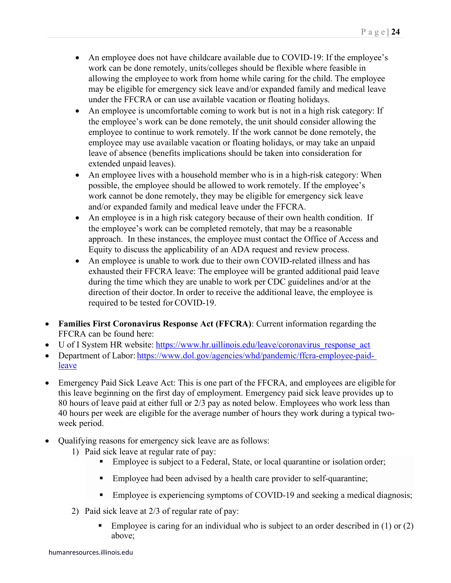- An employee does not have childcare available due to COVID-19: If the employee's work can be done remotely, units/colleges should be flexible where feasible in allowing the employee to work from home while caring for the child. The employee may be eligible for emergency sick leave and/or expanded family and medical leave under the FFCRA or can use available vacation or floating holidays.
- An employee is uncomfortable coming to work but is not in a high risk category: If the employee's work can be done remotely, the unit should consider allowing the employee to continue to work remotely. If the work cannot be done remotely, the employee may use available vacation or floating holidays, or may take an unpaid leave of absence (benefits implications should be taken into consideration for extended unpaid leaves).
- An employee lives with a household member who is in a high-risk category: When possible, the employee should be allowed to work remotely. If the employee's work cannot be done remotely, they may be eligible for emergency sick leave and/or expanded family and medical leave under the FFCRA.
- An employee is in a high risk category because of their own health condition. If the employee's work can be completed remotely, that may be a reasonable approach. In these instances, the employee must contact the Office of Access and Equity to discuss the applicability of an ADA request and review process.
- An employee is unable to work due to their own COVID-related illness and has exhausted their FFCRA leave: The employee will be granted additional paid leave during the time which they are unable to work per CDC guidelines and/or at the direction of their doctor.In order to receive the additional leave, the employee is required to be tested for COVID-19.
- **Families First Coronavirus Response Act (FFCRA)**: Current information regarding the FFCRA can be found here:
- U of I System HR website: https://www.hr.uillinois.edu/leave/coronavirus response act
- Department of Labor: [https://www.dol.gov/agencies/whd/pandemic/ffcra-employee-paid](https://www.dol.gov/agencies/whd/pandemic/ffcra-employee-paid-leave)[leave](https://www.dol.gov/agencies/whd/pandemic/ffcra-employee-paid-leave)
- Emergency Paid Sick Leave Act: This is one part of the FFCRA, and employees are eligible for this leave beginning on the first day of employment. Emergency paid sick leave provides up to 80 hours of leave paid at either full or 2/3 pay as noted below. Employees who work less than 40 hours per week are eligible for the average number of hours they work during a typical twoweek period.
- Qualifying reasons for emergency sick leave are as follows:
	- 1) Paid sick leave at regular rate of pay:
		- **Employee** is subject to a Federal, State, or local quarantine or isolation order;
		- Employee had been advised by a health care provider to self-quarantine;
		- **Employee** is experiencing symptoms of COVID-19 and seeking a medical diagnosis;
	- 2) Paid sick leave at 2/3 of regular rate of pay:
		- Employee is caring for an individual who is subject to an order described in (1) or (2) above;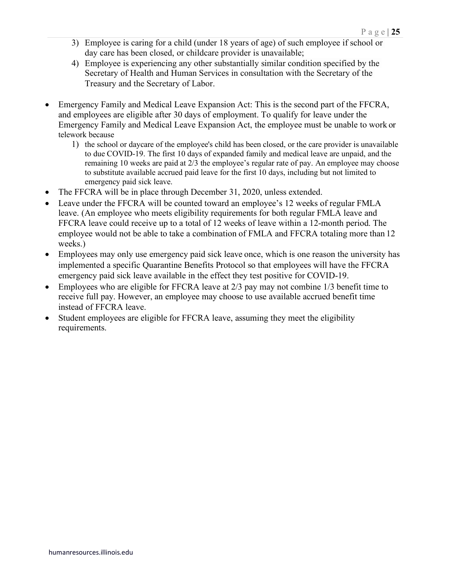- 3) Employee is caring for a child (under 18 years of age) of such employee if school or day care has been closed, or childcare provider is unavailable;
- 4) Employee is experiencing any other substantially similar condition specified by the Secretary of Health and Human Services in consultation with the Secretary of the Treasury and the Secretary of Labor.
- Emergency Family and Medical Leave Expansion Act: This is the second part of the FFCRA, and employees are eligible after 30 days of employment. To qualify for leave under the Emergency Family and Medical Leave Expansion Act, the employee must be unable to work or telework because
	- 1) the school or daycare of the employee's child has been closed, or the care provider is unavailable to due COVID-19. The first 10 days of expanded family and medical leave are unpaid, and the remaining 10 weeks are paid at 2/3 the employee's regular rate of pay. An employee may choose to substitute available accrued paid leave for the first 10 days, including but not limited to emergency paid sick leave.
- The FFCRA will be in place through December 31, 2020, unless extended.
- Leave under the FFCRA will be counted toward an employee's 12 weeks of regular FMLA leave. (An employee who meets eligibility requirements for both regular FMLA leave and FFCRA leave could receive up to a total of 12 weeks of leave within a 12-month period. The employee would not be able to take a combination of FMLA and FFCRA totaling more than 12 weeks.)
- Employees may only use emergency paid sick leave once, which is one reason the university has implemented a specific Quarantine Benefits Protocol so that employees will have the FFCRA emergency paid sick leave available in the effect they test positive for COVID-19.
- Employees who are eligible for FFCRA leave at 2/3 pay may not combine 1/3 benefit time to receive full pay. However, an employee may choose to use available accrued benefit time instead of FFCRA leave.
- Student employees are eligible for FFCRA leave, assuming they meet the eligibility requirements.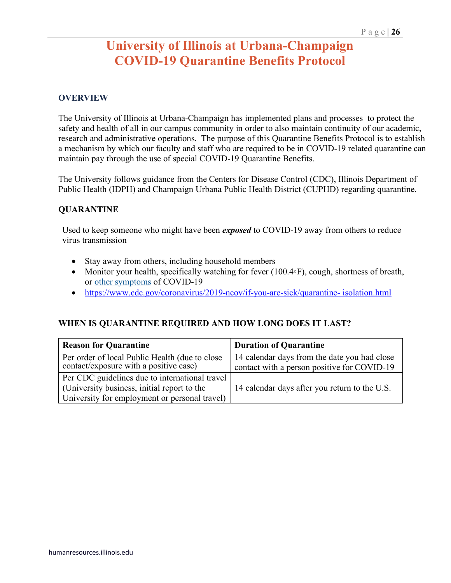# **University of Illinois at Urbana-Champaign COVID-19 Quarantine Benefits Protocol**

### **OVERVIEW**

The University of Illinois at Urbana-Champaign has implemented plans and processes to protect the safety and health of all in our campus community in order to also maintain continuity of our academic, research and administrative operations. The purpose of this Quarantine Benefits Protocol is to establish a mechanism by which our faculty and staff who are required to be in COVID-19 related quarantine can maintain pay through the use of special COVID-19 Quarantine Benefits.

The University follows guidance from the Centers for Disease Control (CDC), Illinois Department of Public Health (IDPH) and Champaign Urbana Public Health District (CUPHD) regarding quarantine.

#### **QUARANTINE**

Used to keep someone who might have been *exposed* to COVID-19 away from others to reduce virus transmission

- Stay away from others, including household members
- Monitor your health, specifically watching for fever (100.4◦F), cough, shortness of breath, or [other symptoms](https://www.cdc.gov/coronavirus/2019-ncov/symptoms-testing/symptoms.html) of COVID-19
- [https://www.cdc.gov/coronavirus/2019-ncov/if-you-are-sick/quarantine-](https://www.cdc.gov/coronavirus/2019-ncov/if-you-are-sick/quarantine-isolation.html) [isolation.html](https://www.cdc.gov/coronavirus/2019-ncov/if-you-are-sick/quarantine-isolation.html)

#### **WHEN IS QUARANTINE REQUIRED AND HOW LONG DOES IT LAST?**

| <b>Reason for Quarantine</b>                                                                                                                   | <b>Duration of Quarantine</b>                                                               |
|------------------------------------------------------------------------------------------------------------------------------------------------|---------------------------------------------------------------------------------------------|
| Per order of local Public Health (due to close<br>contact/exposure with a positive case)                                                       | 14 calendar days from the date you had close<br>contact with a person positive for COVID-19 |
| Per CDC guidelines due to international travel<br>(University business, initial report to the<br>University for employment or personal travel) | 14 calendar days after you return to the U.S.                                               |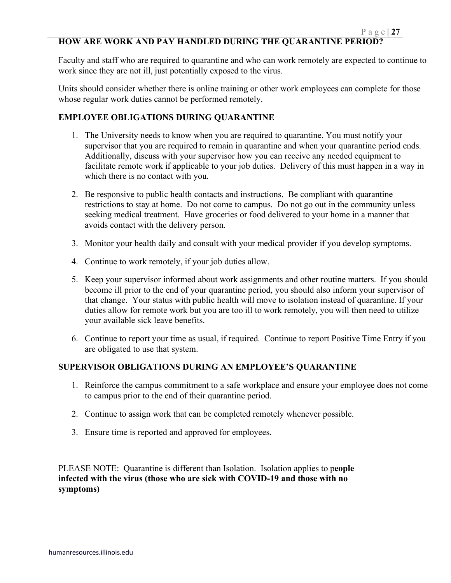Faculty and staff who are required to quarantine and who can work remotely are expected to continue to work since they are not ill, just potentially exposed to the virus.

Units should consider whether there is online training or other work employees can complete for those whose regular work duties cannot be performed remotely.

### **EMPLOYEE OBLIGATIONS DURING QUARANTINE**

- 1. The University needs to know when you are required to quarantine. You must notify your supervisor that you are required to remain in quarantine and when your quarantine period ends. Additionally, discuss with your supervisor how you can receive any needed equipment to facilitate remote work if applicable to your job duties. Delivery of this must happen in a way in which there is no contact with you.
- 2. Be responsive to public health contacts and instructions. Be compliant with quarantine restrictions to stay at home. Do not come to campus. Do not go out in the community unless seeking medical treatment. Have groceries or food delivered to your home in a manner that avoids contact with the delivery person.
- 3. Monitor your health daily and consult with your medical provider if you develop symptoms.
- 4. Continue to work remotely, if your job duties allow.
- 5. Keep your supervisor informed about work assignments and other routine matters. If you should become ill prior to the end of your quarantine period, you should also inform your supervisor of that change. Your status with public health will move to isolation instead of quarantine. If your duties allow for remote work but you are too ill to work remotely, you will then need to utilize your available sick leave benefits.
- 6. Continue to report your time as usual, if required. Continue to report Positive Time Entry if you are obligated to use that system.

### **SUPERVISOR OBLIGATIONS DURING AN EMPLOYEE'S QUARANTINE**

- 1. Reinforce the campus commitment to a safe workplace and ensure your employee does not come to campus prior to the end of their quarantine period.
- 2. Continue to assign work that can be completed remotely whenever possible.
- 3. Ensure time is reported and approved for employees.

PLEASE NOTE: Quarantine is different than Isolation. Isolation applies to p**eople infected with the virus (those who are sick with COVID-19 and those with no symptoms)**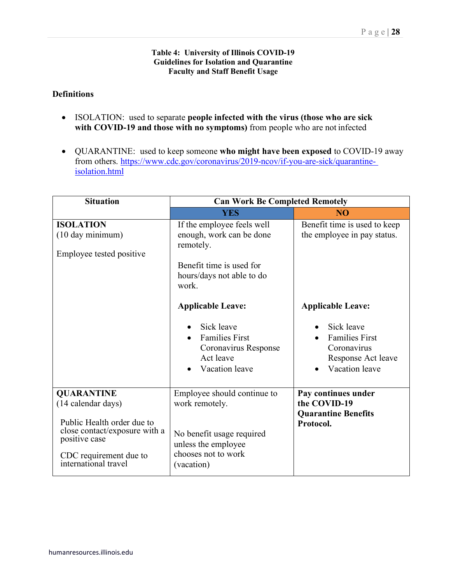#### **Table 4: University of Illinois COVID-19 Guidelines for Isolation and Quarantine Faculty and Staff Benefit Usage**

### **Definitions**

- ISOLATION: used to separate **people infected with the virus (those who are sick with COVID-19 and those with no symptoms)** from people who are not infected
- QUARANTINE: used to keep someone **who might have been exposed** to COVID-19 away from others. [https://www.cdc.gov/coronavirus/2019-ncov/if-you-are-sick/quarantine](https://www.cdc.gov/coronavirus/2019-ncov/if-you-are-sick/quarantine-isolation.html)[isolation.html](https://www.cdc.gov/coronavirus/2019-ncov/if-you-are-sick/quarantine-isolation.html)

| <b>Situation</b>                                                                                 | <b>Can Work Be Completed Remotely</b>                                                                                                 |                                                                                            |  |
|--------------------------------------------------------------------------------------------------|---------------------------------------------------------------------------------------------------------------------------------------|--------------------------------------------------------------------------------------------|--|
|                                                                                                  | <b>YES</b>                                                                                                                            | N <sub>O</sub>                                                                             |  |
| <b>ISOLATION</b><br>(10 day minimum)<br>Employee tested positive                                 | If the employee feels well<br>enough, work can be done<br>remotely.<br>Benefit time is used for<br>hours/days not able to do<br>work. | Benefit time is used to keep<br>the employee in pay status.                                |  |
|                                                                                                  | <b>Applicable Leave:</b>                                                                                                              | <b>Applicable Leave:</b>                                                                   |  |
|                                                                                                  | Sick leave<br><b>Families First</b><br>Coronavirus Response<br>Act leave<br>Vacation leave                                            | Sick leave<br><b>Families First</b><br>Coronavirus<br>Response Act leave<br>Vacation leave |  |
| <b>QUARANTINE</b><br>(14 calendar days)<br>Public Health order due to                            | Employee should continue to<br>work remotely.                                                                                         | Pay continues under<br>the COVID-19<br><b>Quarantine Benefits</b><br>Protocol.             |  |
| close contact/exposure with a<br>positive case<br>CDC requirement due to<br>international travel | No benefit usage required<br>unless the employee<br>chooses not to work<br>(vacation)                                                 |                                                                                            |  |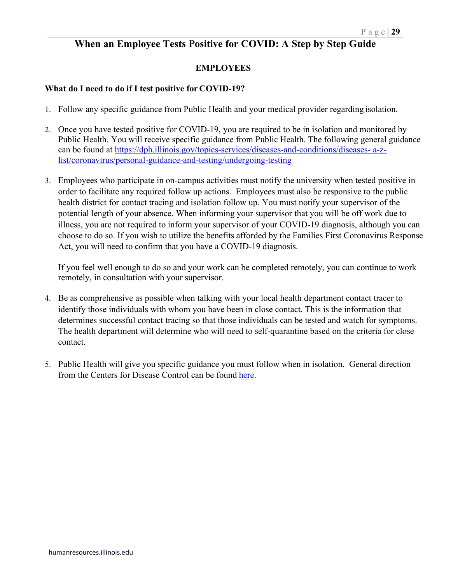# **When an Employee Tests Positive for COVID: A Step by Step Guide**

### **EMPLOYEES**

#### **What do I need to do if I test positive for COVID-19?**

- 1. Follow any specific guidance from Public Health and your medical provider regarding isolation.
- 2. Once you have tested positive for COVID-19, you are required to be in isolation and monitored by Public Health. You will receive specific guidance from Public Health. The following general guidance can be found at [https://dph.illinois.gov/topics-services/diseases-and-conditions/diseases-](https://dph.illinois.gov/topics-services/diseases-and-conditions/diseases-a-z-list/coronavirus/personal-guidance-and-testing/undergoing-testing) [a-z](https://dph.illinois.gov/topics-services/diseases-and-conditions/diseases-a-z-list/coronavirus/personal-guidance-and-testing/undergoing-testing)[list/coronavirus/personal-guidance-and-testing/undergoing-testing](https://dph.illinois.gov/topics-services/diseases-and-conditions/diseases-a-z-list/coronavirus/personal-guidance-and-testing/undergoing-testing)
- 3. Employees who participate in on-campus activities must notify the university when tested positive in order to facilitate any required follow up actions. Employees must also be responsive to the public health district for contact tracing and isolation follow up. You must notify your supervisor of the potential length of your absence. When informing your supervisor that you will be off work due to illness, you are not required to inform your supervisor of your COVID-19 diagnosis, although you can choose to do so. If you wish to utilize the benefits afforded by the Families First Coronavirus Response Act, you will need to confirm that you have a COVID-19 diagnosis.

If you feel well enough to do so and your work can be completed remotely, you can continue to work remotely, in consultation with your supervisor.

- 4. Be as comprehensive as possible when talking with your local health department contact tracer to identify those individuals with whom you have been in close contact. This is the information that determines successful contact tracing so that those individuals can be tested and watch for symptoms. The health department will determine who will need to self-quarantine based on the criteria for close contact.
- 5. Public Health will give you specific guidance you must follow when in isolation. General direction from the Centers for Disease Control can be found [here.](https://www.cdc.gov/coronavirus/2019-ncov/downloads/10Things.pdf)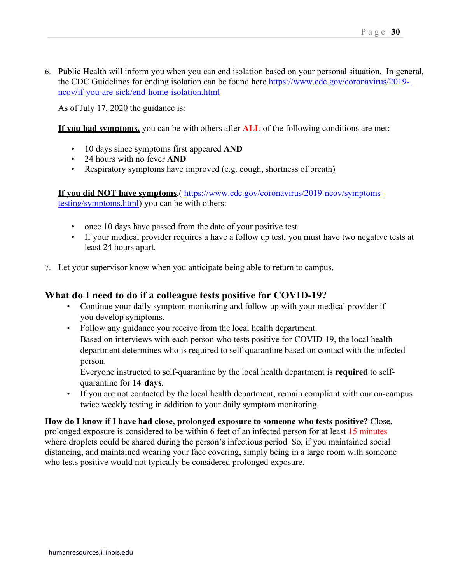6. Public Health will inform you when you can end isolation based on your personal situation. In general, the CDC Guidelines for ending isolation can be found here [https://www.cdc.gov/coronavirus/2019](https://www.cdc.gov/coronavirus/2019-ncov/if-you-are-sick/end-home-isolation.html) [ncov/if-you-are-sick/end-home-isolation.html](https://www.cdc.gov/coronavirus/2019-ncov/if-you-are-sick/end-home-isolation.html)

As of July 17, 2020 the guidance is:

**If you had symptoms,** you can be with others after **ALL** of the following conditions are met:

- 10 days since symptoms first appeared **AND**
- 24 hours with no fever **AND**
- Respiratory symptoms have improved (e.g. cough, shortness of breath)

**If you did NOT have symptoms**,( [https://www.cdc.gov/coronavirus/2019-ncov/symptoms](https://www.cdc.gov/coronavirus/2019-ncov/symptoms-testing/symptoms.html)[testing/symptoms.html\)](https://www.cdc.gov/coronavirus/2019-ncov/symptoms-testing/symptoms.html) you can be with others:

- once 10 days have passed from the date of your positive test
- If your medical provider requires a have a follow up test, you must have two negative tests at least 24 hours apart.
- 7. Let your supervisor know when you anticipate being able to return to campus.

# **What do I need to do if a colleague tests positive for COVID-19?**

- Continue your daily symptom monitoring and follow up with your medical provider if you develop symptoms.
- Follow any guidance you receive from the local health department. Based on interviews with each person who tests positive for COVID-19, the local health department determines who is required to self-quarantine based on contact with the infected person.

Everyone instructed to self-quarantine by the local health department is **required** to selfquarantine for **14 days**.

• If you are not contacted by the local health department, remain compliant with our on-campus twice weekly testing in addition to your daily symptom monitoring.

**How do I know if I have had close, prolonged exposure to someone who tests positive?** Close, prolonged exposure is considered to be within 6 feet of an infected person for at least 15 minutes where droplets could be shared during the person's infectious period. So, if you maintained social distancing, and maintained wearing your face covering, simply being in a large room with someone who tests positive would not typically be considered prolonged exposure.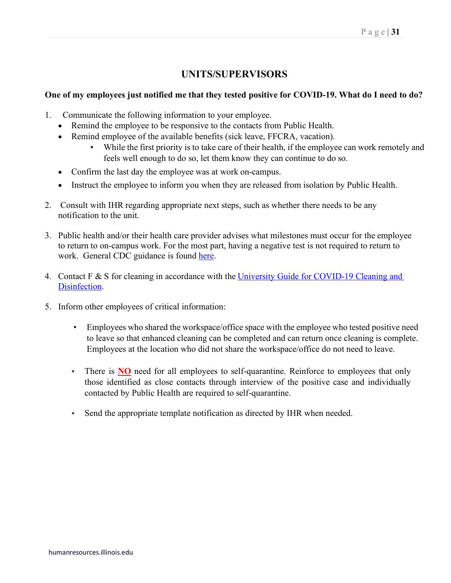# **UNITS/SUPERVISORS**

### **One of my employees just notified me that they tested positive for COVID-19. What do I need to do?**

- 1. Communicate the following information to your employee.
	- Remind the employee to be responsive to the contacts from Public Health.
	- Remind employee of the available benefits (sick leave, FFCRA, vacation).
		- While the first priority is to take care of their health, if the employee can work remotely and feels well enough to do so, let them know they can continue to do so.
	- Confirm the last day the employee was at work on-campus.
	- Instruct the employee to inform you when they are released from isolation by Public Health.
- 2. Consult with IHR regarding appropriate next steps, such as whether there needs to be any notification to the unit.
- 3. Public health and/or their health care provider advises what milestones must occur for the employee to return to on-campus work. For the most part, having a negative test is not required to return to work. General CDC guidance is found [here.](https://www.cdc.gov/coronavirus/2019-ncov/if-you-are-sick/end-home-isolation.html)
- 4. Contact F & S for cleaning in accordance with the University Guide for COVID-19 Cleaning and [Disinfection.](https://fs.illinois.edu/resources/covid-response/cleaning-and-disinfection-covid-19)
- 5. Inform other employees of critical information:
	- Employees who shared the workspace/office space with the employee who tested positive need to leave so that enhanced cleaning can be completed and can return once cleaning is complete. Employees at the location who did not share the workspace/office do not need to leave.
	- There is **NO** need for all employees to self-quarantine. Reinforce to employees that only those identified as close contacts through interview of the positive case and individually contacted by Public Health are required to self-quarantine.
	- Send the appropriate template notification as directed by IHR when needed.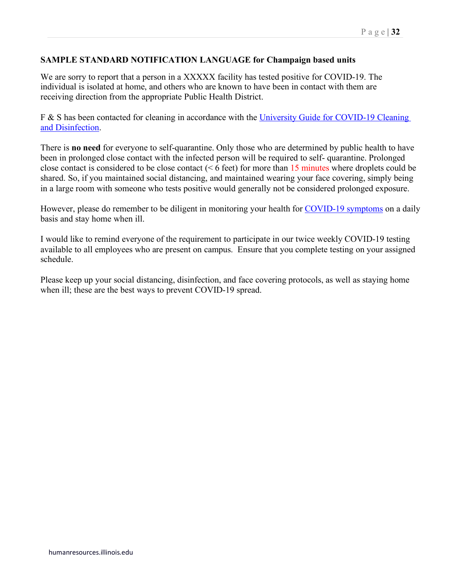### **SAMPLE STANDARD NOTIFICATION LANGUAGE for Champaign based units**

We are sorry to report that a person in a XXXXX facility has tested positive for COVID-19. The individual is isolated at home, and others who are known to have been in contact with them are receiving direction from the appropriate Public Health District.

F & S has been contacted for cleaning in accordance with the University Guide for COVID-19 Cleaning [and Disinfection.](https://fs.illinois.edu/resources/covid-response/cleaning-and-disinfection-covid-19)

There is **no need** for everyone to self-quarantine. Only those who are determined by public health to have been in prolonged close contact with the infected person will be required to self- quarantine. Prolonged close contact is considered to be close contact (< 6 feet) for more than 15 minutes where droplets could be shared. So, if you maintained social distancing, and maintained wearing your face covering, simply being in a large room with someone who tests positive would generally not be considered prolonged exposure.

However, please do remember to be diligent in monitoring your health for [COVID-19 symptoms](https://www.cdc.gov/coronavirus/2019-ncov/symptoms-testing/symptoms.html) on a daily basis and stay home when ill.

I would like to remind everyone of the requirement to participate in our twice weekly COVID-19 testing available to all employees who are present on campus. Ensure that you complete testing on your assigned schedule.

Please keep up your social distancing, disinfection, and face covering protocols, as well as staying home when ill; these are the best ways to prevent COVID-19 spread.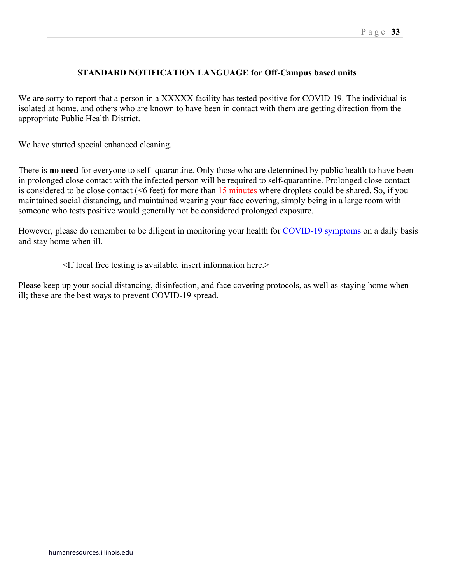#### P a g e | **33**

### **STANDARD NOTIFICATION LANGUAGE for Off-Campus based units**

We are sorry to report that a person in a XXXXX facility has tested positive for COVID-19. The individual is isolated at home, and others who are known to have been in contact with them are getting direction from the appropriate Public Health District.

We have started special enhanced cleaning.

There is **no need** for everyone to self- quarantine. Only those who are determined by public health to have been in prolonged close contact with the infected person will be required to self-quarantine. Prolonged close contact is considered to be close contact ( $\leq 6$  feet) for more than 15 minutes where droplets could be shared. So, if you maintained social distancing, and maintained wearing your face covering, simply being in a large room with someone who tests positive would generally not be considered prolonged exposure.

However, please do remember to be diligent in monitoring your health for [COVID-19 symptoms](https://www.cdc.gov/coronavirus/2019-ncov/symptoms-testing/symptoms.html) on a daily basis and stay home when ill.

<If local free testing is available, insert information here.>

Please keep up your social distancing, disinfection, and face covering protocols, as well as staying home when ill; these are the best ways to prevent COVID-19 spread.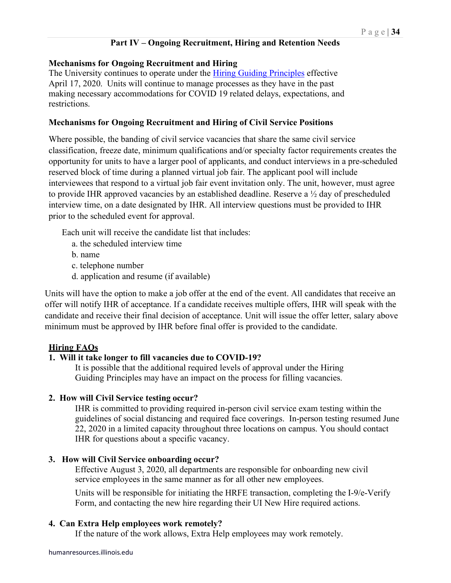### **Part IV – Ongoing Recruitment, Hiring and Retention Needs**

#### **Mechanisms for Ongoing Recruitment and Hiring**

The University continues to operate under the [Hiring Guiding Principles](https://humanresources.illinois.edu/assets/docs/Hiring-Guiding-Principles-FINAL.pdf) effective April 17, 2020. Units will continue to manage processes as they have in the past making necessary accommodations for COVID 19 related delays, expectations, and restrictions.

### **Mechanisms for Ongoing Recruitment and Hiring of Civil Service Positions**

Where possible, the banding of civil service vacancies that share the same civil service classification, freeze date, minimum qualifications and/or specialty factor requirements creates the opportunity for units to have a larger pool of applicants, and conduct interviews in a pre-scheduled reserved block of time during a planned virtual job fair. The applicant pool will include interviewees that respond to a virtual job fair event invitation only. The unit, however, must agree to provide IHR approved vacancies by an established deadline. Reserve a ½ day of prescheduled interview time, on a date designated by IHR. All interview questions must be provided to IHR prior to the scheduled event for approval.

Each unit will receive the candidate list that includes:

- a. the scheduled interview time
- b. name
- c. telephone number
- d. application and resume (if available)

Units will have the option to make a job offer at the end of the event. All candidates that receive an offer will notify IHR of acceptance. If a candidate receives multiple offers, IHR will speak with the candidate and receive their final decision of acceptance. Unit will issue the offer letter, salary above minimum must be approved by IHR before final offer is provided to the candidate.

#### **Hiring FAQs**

### **1. Will it take longer to fill vacancies due to COVID-19?**

It is possible that the additional required levels of approval under the Hiring Guiding Principles may have an impact on the process for filling vacancies.

#### **2. How will Civil Service testing occur?**

IHR is committed to providing required in-person civil service exam testing within the guidelines of social distancing and required face coverings. In-person testing resumed June 22, 2020 in a limited capacity throughout three locations on campus. You should contact IHR for questions about a specific vacancy.

#### **3. How will Civil Service onboarding occur?**

Effective August 3, 2020, all departments are responsible for onboarding new civil service employees in the same manner as for all other new employees.

Units will be responsible for initiating the HRFE transaction, completing the I-9/e-Verify Form, and contacting the new hire regarding their UI New Hire required actions.

#### **4. Can Extra Help employees work remotely?**

If the nature of the work allows, Extra Help employees may work remotely.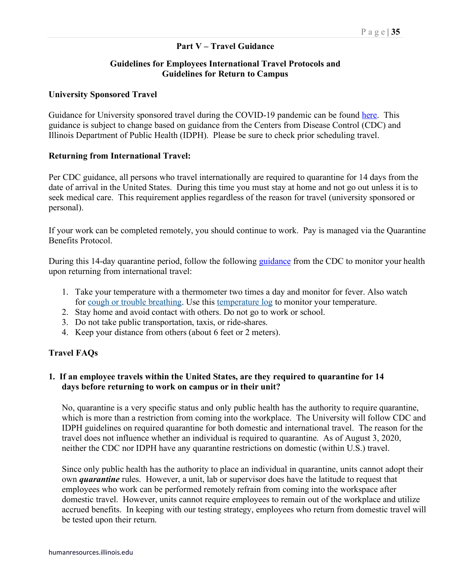### **Part V – Travel Guidance**

### **Guidelines for Employees International Travel Protocols and Guidelines for Return to Campus**

#### **University Sponsored Travel**

Guidance for University sponsored travel during the COVID-19 pandemic can be found [here.](https://covid19.illinois.edu/travel/) This guidance is subject to change based on guidance from the Centers from Disease Control (CDC) and Illinois Department of Public Health (IDPH). Please be sure to check prior scheduling travel.

#### **Returning from International Travel:**

Per CDC guidance, all persons who travel internationally are required to quarantine for 14 days from the date of arrival in the United States. During this time you must stay at home and not go out unless it is to seek medical care. This requirement applies regardless of the reason for travel (university sponsored or personal).

If your work can be completed remotely, you should continue to work. Pay is managed via the Quarantine Benefits Protocol.

During this 14-day quarantine period, follow the following [guidance](https://www.cdc.gov/coronavirus/2019-ncov/travelers/after-travel-precautions.html) from the CDC to monitor your health upon returning from international travel:

- 1. Take your temperature with a thermometer two times a day and monitor for fever. Also watch for [cough or trouble breathing.](https://www.cdc.gov/coronavirus/2019-ncov/symptoms-testing/symptoms.html) Use this [temperature log](https://www.cdc.gov/coronavirus/2019-ncov/travelers/communication-resources.html#templog) to monitor your temperature.
- 2. Stay home and avoid contact with others. Do not go to work or school.
- 3. Do not take public transportation, taxis, or ride-shares.
- 4. Keep your distance from others (about 6 feet or 2 meters).

#### **Travel FAQs**

### **1. If an employee travels within the United States, are they required to quarantine for 14 days before returning to work on campus or in their unit?**

No, quarantine is a very specific status and only public health has the authority to require quarantine, which is more than a restriction from coming into the workplace. The University will follow CDC and IDPH guidelines on required quarantine for both domestic and international travel. The reason for the travel does not influence whether an individual is required to quarantine. As of August 3, 2020, neither the CDC nor IDPH have any quarantine restrictions on domestic (within U.S.) travel.

Since only public health has the authority to place an individual in quarantine, units cannot adopt their own *quarantine* rules. However, a unit, lab or supervisor does have the latitude to request that employees who work can be performed remotely refrain from coming into the workspace after domestic travel. However, units cannot require employees to remain out of the workplace and utilize accrued benefits. In keeping with our testing strategy, employees who return from domestic travel will be tested upon their return.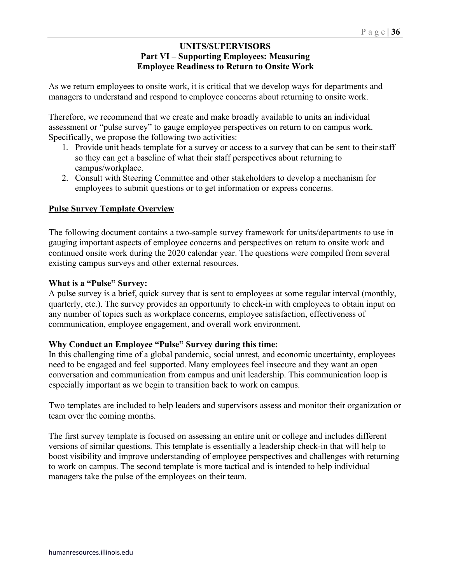### **UNITS/SUPERVISORS Part VI – Supporting Employees: Measuring Employee Readiness to Return to Onsite Work**

As we return employees to onsite work, it is critical that we develop ways for departments and managers to understand and respond to employee concerns about returning to onsite work.

Therefore, we recommend that we create and make broadly available to units an individual assessment or "pulse survey" to gauge employee perspectives on return to on campus work. Specifically, we propose the following two activities:

- 1. Provide unit heads template for a survey or access to a survey that can be sent to theirstaff so they can get a baseline of what their staff perspectives about returning to campus/workplace.
- 2. Consult with Steering Committee and other stakeholders to develop a mechanism for employees to submit questions or to get information or express concerns.

### **Pulse Survey Template Overview**

The following document contains a two-sample survey framework for units/departments to use in gauging important aspects of employee concerns and perspectives on return to onsite work and continued onsite work during the 2020 calendar year. The questions were compiled from several existing campus surveys and other external resources.

### **What is a "Pulse" Survey:**

A pulse survey is a brief, quick survey that is sent to employees at some regular interval (monthly, quarterly, etc.). The survey provides an opportunity to check-in with employees to obtain input on any number of topics such as workplace concerns, employee satisfaction, effectiveness of communication, employee engagement, and overall work environment.

### **Why Conduct an Employee "Pulse" Survey during this time:**

In this challenging time of a global pandemic, social unrest, and economic uncertainty, employees need to be engaged and feel supported. Many employees feel insecure and they want an open conversation and communication from campus and unit leadership. This communication loop is especially important as we begin to transition back to work on campus.

Two templates are included to help leaders and supervisors assess and monitor their organization or team over the coming months.

The first survey template is focused on assessing an entire unit or college and includes different versions of similar questions. This template is essentially a leadership check-in that will help to boost visibility and improve understanding of employee perspectives and challenges with returning to work on campus. The second template is more tactical and is intended to help individual managers take the pulse of the employees on their team.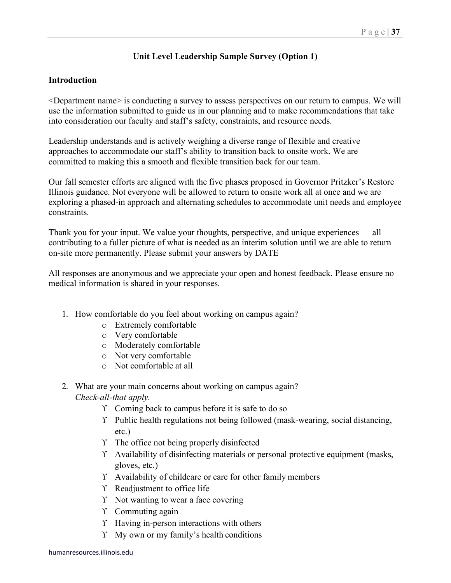# **Unit Level Leadership Sample Survey (Option 1)**

### **Introduction**

<Department name> is conducting a survey to assess perspectives on our return to campus. We will use the information submitted to guide us in our planning and to make recommendations that take into consideration our faculty and staff's safety, constraints, and resource needs.

Leadership understands and is actively weighing a diverse range of flexible and creative approaches to accommodate our staff's ability to transition back to onsite work. We are committed to making this a smooth and flexible transition back for our team.

Our fall semester efforts are aligned with the five phases proposed in Governor Pritzker's Restore Illinois guidance. Not everyone will be allowed to return to onsite work all at once and we are exploring a phased-in approach and alternating schedules to accommodate unit needs and employee constraints.

Thank you for your input. We value your thoughts, perspective, and unique experiences — all contributing to a fuller picture of what is needed as an interim solution until we are able to return on-site more permanently. Please submit your answers by DATE

All responses are anonymous and we appreciate your open and honest feedback. Please ensure no medical information is shared in your responses.

- 1. How comfortable do you feel about working on campus again?
	- o Extremely comfortable
	- o Very comfortable
	- o Moderately comfortable
	- o Not very comfortable
	- o Not comfortable at all
- 2. What are your main concerns about working on campus again?
	- *Check-all-that apply.*
		- ϒ Coming back to campus before it is safe to do so
		- ϒ Public health regulations not being followed (mask-wearing, social distancing, etc.)
		- ϒ The office not being properly disinfected
		- ϒ Availability of disinfecting materials or personal protective equipment (masks, gloves, etc.)
		- ϒ Availability of childcare or care for other family members
		- ϒ Readjustment to office life
		- Y Not wanting to wear a face covering
		- ϒ Commuting again
		- ϒ Having in-person interactions with others
		- ϒ My own or my family's health conditions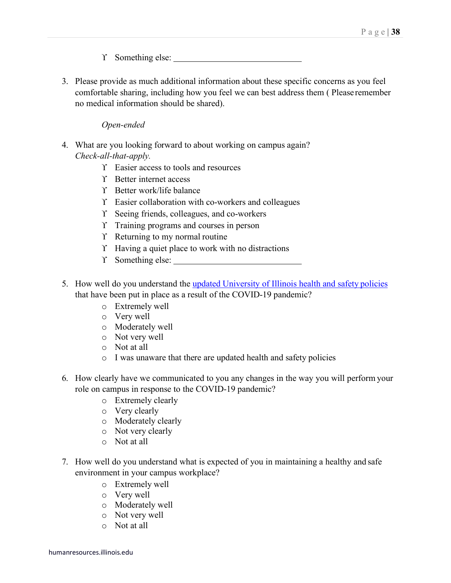ϒ Something else:

3. Please provide as much additional information about these specific concerns as you feel comfortable sharing, including how you feel we can best address them ( Please remember no medical information should be shared).

### *Open-ended*

- 4. What are you looking forward to about working on campus again? *Check-all-that-apply.*
	- ϒ Easier access to tools and resources
	- ϒ Better internet access
	- ϒ Better work/life balance
	- ϒ Easier collaboration with co-workers and colleagues
	- ϒ Seeing friends, colleagues, and co-workers
	- ϒ Training programs and courses in person
	- ϒ Returning to my normal routine
	- ϒ Having a quiet place to work with no distractions
	- ϒ Something else:
- 5. How well do you understand the [updated University of Illinois health and safety](https://covid19.illinois.edu/) policies that have been put in place as a result of the COVID-19 pandemic?
	- o Extremely well
	- o Very well
	- o Moderately well
	- o Not very well
	- o Not at all
	- o I was unaware that there are updated health and safety policies
- 6. How clearly have we communicated to you any changes in the way you will perform your role on campus in response to the COVID-19 pandemic?
	- o Extremely clearly
	- o Very clearly
	- o Moderately clearly
	- o Not very clearly
	- o Not at all
- 7. How well do you understand what is expected of you in maintaining a healthy and safe environment in your campus workplace?
	- o Extremely well
	- o Very well
	- o Moderately well
	- o Not very well
	- o Not at all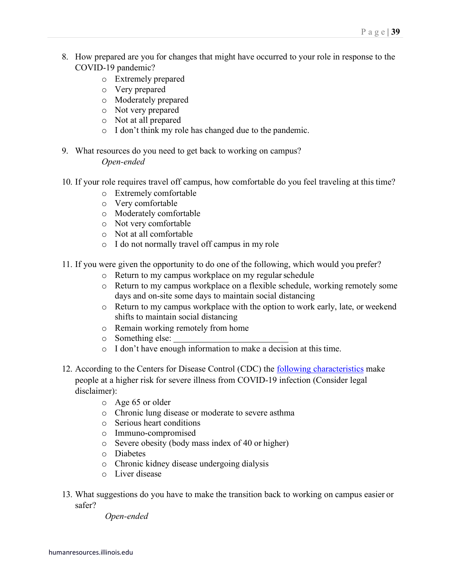- 8. How prepared are you for changes that might have occurred to your role in response to the COVID-19 pandemic?
	- o Extremely prepared
	- o Very prepared
	- o Moderately prepared
	- o Not very prepared
	- o Not at all prepared
	- o I don't think my role has changed due to the pandemic.
- 9. What resources do you need to get back to working on campus? *Open-ended*
- 10. If your role requires travel off campus, how comfortable do you feel traveling at this time?
	- o Extremely comfortable
	- o Very comfortable
	- o Moderately comfortable
	- o Not very comfortable
	- o Not at all comfortable
	- o I do not normally travel off campus in my role
- 11. If you were given the opportunity to do one of the following, which would you prefer?
	- o Return to my campus workplace on my regularschedule
	- o Return to my campus workplace on a flexible schedule, working remotely some days and on-site some days to maintain social distancing
	- o Return to my campus workplace with the option to work early, late, or weekend shifts to maintain social distancing
	- o Remain working remotely from home
	- o Something else:
	- o I don't have enough information to make a decision at this time.
- 12. According to the Centers for Disease Control (CDC) the [following characteristics](https://www.cdc.gov/coronavirus/2019-ncov/need-extra-precautions/people-at-higher-risk.html) make people at a higher risk for severe illness from COVID-19 infection (Consider legal disclaimer):
	- o Age 65 or older
	- o Chronic lung disease or moderate to severe asthma
	- o Serious heart conditions
	- o Immuno-compromised
	- o Severe obesity (body mass index of 40 or higher)
	- o Diabetes
	- o Chronic kidney disease undergoing dialysis
	- o Liver disease
- 13. What suggestions do you have to make the transition back to working on campus easier or safer?

*Open-ended*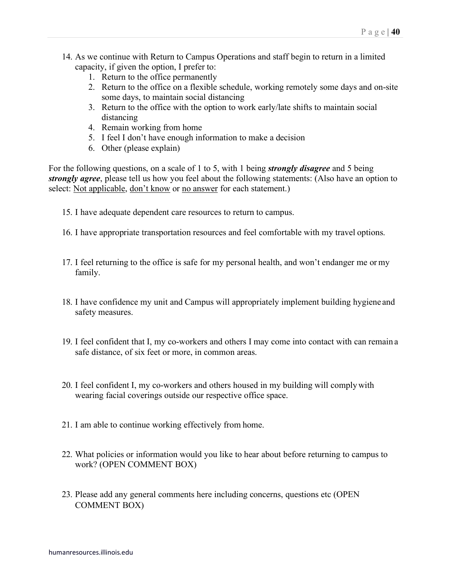- 14. As we continue with Return to Campus Operations and staff begin to return in a limited capacity, if given the option, I prefer to:
	- 1. Return to the office permanently
	- 2. Return to the office on a flexible schedule, working remotely some days and on-site some days, to maintain social distancing
	- 3. Return to the office with the option to work early/late shifts to maintain social distancing
	- 4. Remain working from home
	- 5. I feel I don't have enough information to make a decision
	- 6. Other (please explain)

For the following questions, on a scale of 1 to 5, with 1 being *strongly disagree* and 5 being *strongly agree*, please tell us how you feel about the following statements: (Also have an option to select: Not applicable, don't know or no answer for each statement.)

- 15. I have adequate dependent care resources to return to campus.
- 16. I have appropriate transportation resources and feel comfortable with my travel options.
- 17. I feel returning to the office is safe for my personal health, and won't endanger me or my family.
- 18. I have confidence my unit and Campus will appropriately implement building hygiene and safety measures.
- 19. I feel confident that I, my co-workers and others I may come into contact with can remain a safe distance, of six feet or more, in common areas.
- 20. I feel confident I, my co-workers and others housed in my building will complywith wearing facial coverings outside our respective office space.
- 21. I am able to continue working effectively from home.
- 22. What policies or information would you like to hear about before returning to campus to work? (OPEN COMMENT BOX)
- 23. Please add any general comments here including concerns, questions etc (OPEN COMMENT BOX)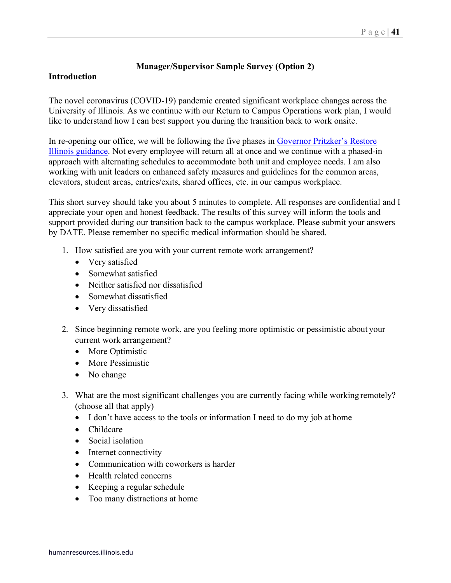#### **Manager/Supervisor Sample Survey (Option 2)**

### **Introduction**

The novel coronavirus (COVID-19) pandemic created significant workplace changes across the University of Illinois. As we continue with our Return to Campus Operations work plan, I would like to understand how I can best support you during the transition back to work onsite.

In re-opening our office, we will be following the five phases in [Governor Pritzker's Restore](https://coronavirus.illinois.gov/s/restore-illinois-introduction) [Illinois guidance.](https://coronavirus.illinois.gov/s/restore-illinois-introduction) Not every employee will return all at once and we continue with a phased-in approach with alternating schedules to accommodate both unit and employee needs. I am also working with unit leaders on enhanced safety measures and guidelines for the common areas, elevators, student areas, entries/exits, shared offices, etc. in our campus workplace.

This short survey should take you about 5 minutes to complete. All responses are confidential and I appreciate your open and honest feedback. The results of this survey will inform the tools and support provided during our transition back to the campus workplace. Please submit your answers by DATE. Please remember no specific medical information should be shared.

- 1. How satisfied are you with your current remote work arrangement?
	- Very satisfied
	- Somewhat satisfied
	- Neither satisfied nor dissatisfied
	- Somewhat dissatisfied
	- Very dissatisfied
- 2. Since beginning remote work, are you feeling more optimistic or pessimistic about your current work arrangement?
	- More Optimistic
	- More Pessimistic
	- No change
- 3. What are the most significant challenges you are currently facing while working remotely? (choose all that apply)
	- I don't have access to the tools or information I need to do my job at home
	- Childcare
	- Social isolation
	- Internet connectivity
	- Communication with coworkers is harder
	- Health related concerns
	- Keeping a regular schedule
	- Too many distractions at home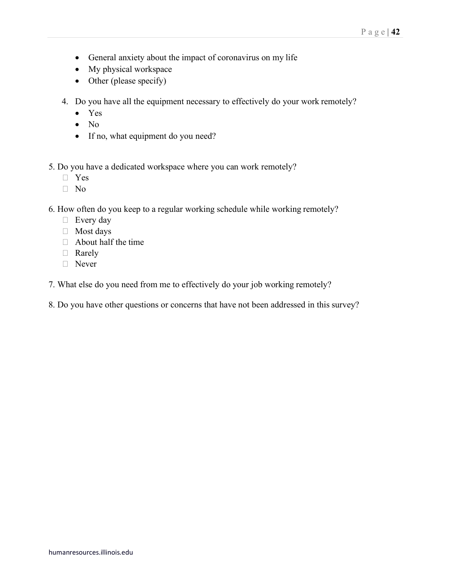- General anxiety about the impact of coronavirus on my life
- My physical workspace
- Other (please specify)
- 4. Do you have all the equipment necessary to effectively do your work remotely?
	- Yes
	- No
	- If no, what equipment do you need?

5. Do you have a dedicated workspace where you can work remotely?

- Yes
- $\neg$  No
- 6. How often do you keep to a regular working schedule while working remotely?
	- $\Box$  Every day
	- Most days
	- $\Box$  About half the time
	- □ Rarely
	- Never
- 7. What else do you need from me to effectively do your job working remotely?
- 8. Do you have other questions or concerns that have not been addressed in this survey?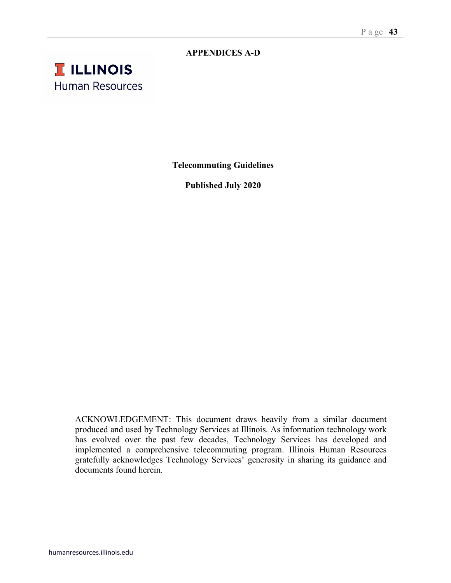### **APPENDICES A-D**

# **T ILLINOIS Human Resources**

**Telecommuting Guidelines**

**Published July 2020**

ACKNOWLEDGEMENT: This document draws heavily from a similar document produced and used by Technology Services at Illinois. As information technology work has evolved over the past few decades, Technology Services has developed and implemented a comprehensive telecommuting program. Illinois Human Resources gratefully acknowledges Technology Services' generosity in sharing its guidance and documents found herein.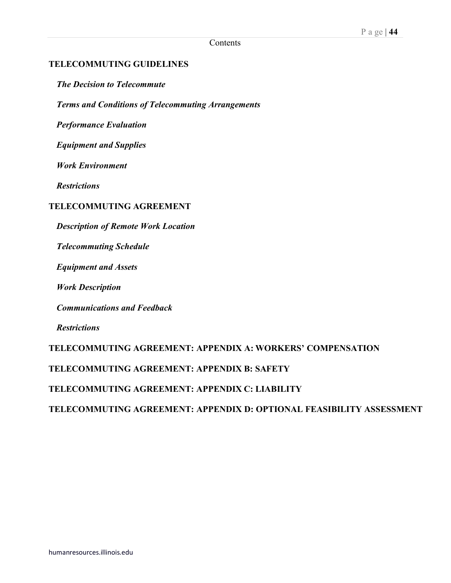### **TELECOMMUTING GUIDELINES**

*The Decision to Telecommute*

*Terms and Conditions of Telecommuting Arrangements*

*Performance Evaluation*

*Equipment and Supplies*

*Work Environment*

*Restrictions* 

### **TELECOMMUTING AGREEMENT**

*Description of Remote Work Location*

*Telecommuting Schedule*

*Equipment and Assets*

*Work Description*

*Communications and Feedback*

*Restrictions*

**TELECOMMUTING AGREEMENT: APPENDIX A: WORKERS' COMPENSATION**

**TELECOMMUTING AGREEMENT: APPENDIX B: SAFETY**

**TELECOMMUTING AGREEMENT: APPENDIX C: LIABILITY**

**TELECOMMUTING AGREEMENT: APPENDIX D: OPTIONAL FEASIBILITY ASSESSMENT**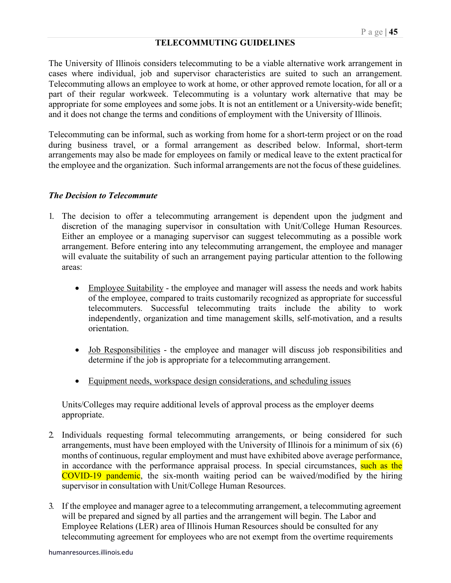### **TELECOMMUTING GUIDELINES**

The University of Illinois considers telecommuting to be a viable alternative work arrangement in cases where individual, job and supervisor characteristics are suited to such an arrangement. Telecommuting allows an employee to work at home, or other approved remote location, for all or a part of their regular workweek. Telecommuting is a voluntary work alternative that may be appropriate for some employees and some jobs. It is not an entitlement or a University-wide benefit; and it does not change the terms and conditions of employment with the University of Illinois.

Telecommuting can be informal, such as working from home for a short-term project or on the road during business travel, or a formal arrangement as described below. Informal, short-term arrangements may also be made for employees on family or medical leave to the extent practicalfor the employee and the organization. Such informal arrangements are not the focus of these guidelines.

#### *The Decision to Telecommute*

- 1. The decision to offer a telecommuting arrangement is dependent upon the judgment and discretion of the managing supervisor in consultation with Unit/College Human Resources. Either an employee or a managing supervisor can suggest telecommuting as a possible work arrangement. Before entering into any telecommuting arrangement, the employee and manager will evaluate the suitability of such an arrangement paying particular attention to the following areas:
	- Employee Suitability the employee and manager will assess the needs and work habits of the employee, compared to traits customarily recognized as appropriate for successful telecommuters. Successful telecommuting traits include the ability to work independently, organization and time management skills, self-motivation, and a results orientation.
	- <u>Job Responsibilities</u> the employee and manager will discuss job responsibilities and determine if the job is appropriate for a telecommuting arrangement.
	- Equipment needs, workspace design considerations, and scheduling issues

Units/Colleges may require additional levels of approval process as the employer deems appropriate.

- 2. Individuals requesting formal telecommuting arrangements, or being considered for such arrangements, must have been employed with the University of Illinois for a minimum of six (6) months of continuous, regular employment and must have exhibited above average performance, in accordance with the performance appraisal process. In special circumstances, such as the COVID-19 pandemic, the six-month waiting period can be waived/modified by the hiring supervisor in consultation with Unit/College Human Resources.
- 3. If the employee and manager agree to a telecommuting arrangement, a telecommuting agreement will be prepared and signed by all parties and the arrangement will begin. The Labor and Employee Relations (LER) area of Illinois Human Resources should be consulted for any telecommuting agreement for employees who are not exempt from the overtime requirements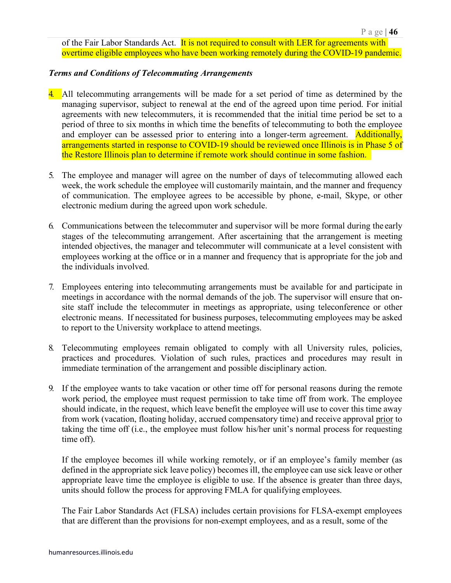of the Fair Labor Standards Act. It is not required to consult with LER for agreements with overtime eligible employees who have been working remotely during the COVID-19 pandemic.

#### *Terms and Conditions of Telecommuting Arrangements*

- 4. All telecommuting arrangements will be made for a set period of time as determined by the managing supervisor, subject to renewal at the end of the agreed upon time period. For initial agreements with new telecommuters, it is recommended that the initial time period be set to a period of three to six months in which time the benefits of telecommuting to both the employee and employer can be assessed prior to entering into a longer-term agreement. Additionally, arrangements started in response to COVID-19 should be reviewed once Illinois is in Phase 5 of the Restore Illinois plan to determine if remote work should continue in some fashion.
- 5. The employee and manager will agree on the number of days of telecommuting allowed each week, the work schedule the employee will customarily maintain, and the manner and frequency of communication. The employee agrees to be accessible by phone, e-mail, Skype, or other electronic medium during the agreed upon work schedule.
- 6. Communications between the telecommuter and supervisor will be more formal during the early stages of the telecommuting arrangement. After ascertaining that the arrangement is meeting intended objectives, the manager and telecommuter will communicate at a level consistent with employees working at the office or in a manner and frequency that is appropriate for the job and the individuals involved.
- 7. Employees entering into telecommuting arrangements must be available for and participate in meetings in accordance with the normal demands of the job. The supervisor will ensure that onsite staff include the telecommuter in meetings as appropriate, using teleconference or other electronic means. If necessitated for business purposes, telecommuting employees may be asked to report to the University workplace to attend meetings.
- 8. Telecommuting employees remain obligated to comply with all University rules, policies, practices and procedures. Violation of such rules, practices and procedures may result in immediate termination of the arrangement and possible disciplinary action.
- 9. If the employee wants to take vacation or other time off for personal reasons during the remote work period, the employee must request permission to take time off from work. The employee should indicate, in the request, which leave benefit the employee will use to cover this time away from work (vacation, floating holiday, accrued compensatory time) and receive approval prior to taking the time off (i.e., the employee must follow his/her unit's normal process for requesting time off).

If the employee becomes ill while working remotely, or if an employee's family member (as defined in the appropriate sick leave policy) becomes ill, the employee can use sick leave or other appropriate leave time the employee is eligible to use. If the absence is greater than three days, units should follow the process for approving FMLA for qualifying employees.

The Fair Labor Standards Act (FLSA) includes certain provisions for FLSA-exempt employees that are different than the provisions for non-exempt employees, and as a result, some of the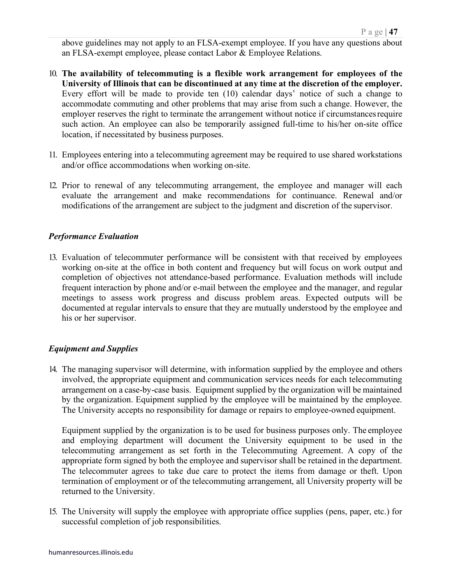above guidelines may not apply to an FLSA-exempt employee. If you have any questions about an FLSA-exempt employee, please contact Labor & Employee Relations.

- 10. **The availability of telecommuting is a flexible work arrangement for employees of the University of Illinois that can be discontinued at any time at the discretion of the employer.**  Every effort will be made to provide ten (10) calendar days' notice of such a change to accommodate commuting and other problems that may arise from such a change. However, the employer reserves the right to terminate the arrangement without notice if circumstancesrequire such action. An employee can also be temporarily assigned full-time to his/her on-site office location, if necessitated by business purposes.
- 11. Employees entering into a telecommuting agreement may be required to use shared workstations and/or office accommodations when working on-site.
- 12. Prior to renewal of any telecommuting arrangement, the employee and manager will each evaluate the arrangement and make recommendations for continuance. Renewal and/or modifications of the arrangement are subject to the judgment and discretion of the supervisor.

### *Performance Evaluation*

13. Evaluation of telecommuter performance will be consistent with that received by employees working on-site at the office in both content and frequency but will focus on work output and completion of objectives not attendance-based performance. Evaluation methods will include frequent interaction by phone and/or e-mail between the employee and the manager, and regular meetings to assess work progress and discuss problem areas. Expected outputs will be documented at regular intervals to ensure that they are mutually understood by the employee and his or her supervisor.

### *Equipment and Supplies*

14. The managing supervisor will determine, with information supplied by the employee and others involved, the appropriate equipment and communication services needs for each telecommuting arrangement on a case-by-case basis. Equipment supplied by the organization will be maintained by the organization. Equipment supplied by the employee will be maintained by the employee. The University accepts no responsibility for damage or repairs to employee-owned equipment.

Equipment supplied by the organization is to be used for business purposes only. The employee and employing department will document the University equipment to be used in the telecommuting arrangement as set forth in the Telecommuting Agreement. A copy of the appropriate form signed by both the employee and supervisor shall be retained in the department. The telecommuter agrees to take due care to protect the items from damage or theft. Upon termination of employment or of the telecommuting arrangement, all University property will be returned to the University.

15. The University will supply the employee with appropriate office supplies (pens, paper, etc.) for successful completion of job responsibilities.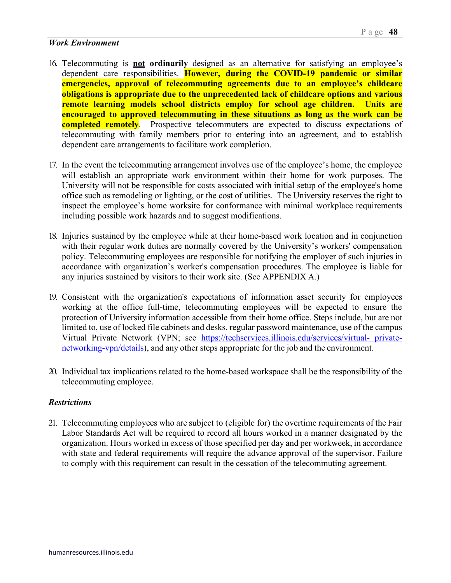### *Work Environment*

- 16. Telecommuting is **not ordinarily** designed as an alternative for satisfying an employee's dependent care responsibilities. **However, during the COVID-19 pandemic or similar emergencies, approval of telecommuting agreements due to an employee's childcare obligations is appropriate due to the unprecedented lack of childcare options and various remote learning models school districts employ for school age children. Units are encouraged to approved telecommuting in these situations as long as the work can be completed remotely**. Prospective telecommuters are expected to discuss expectations of telecommuting with family members prior to entering into an agreement, and to establish dependent care arrangements to facilitate work completion.
- 17. In the event the telecommuting arrangement involves use of the employee's home, the employee will establish an appropriate work environment within their home for work purposes. The University will not be responsible for costs associated with initial setup of the employee's home office such as remodeling or lighting, or the cost of utilities. The University reserves the right to inspect the employee's home worksite for conformance with minimal workplace requirements including possible work hazards and to suggest modifications.
- 18. Injuries sustained by the employee while at their home-based work location and in conjunction with their regular work duties are normally covered by the University's workers' compensation policy. Telecommuting employees are responsible for notifying the employer of such injuries in accordance with organization's worker's compensation procedures. The employee is liable for any injuries sustained by visitors to their work site. (See APPENDIX A.)
- 19. Consistent with the organization's expectations of information asset security for employees working at the office full-time, telecommuting employees will be expected to ensure the protection of University information accessible from their home office. Steps include, but are not limited to, use of locked file cabinets and desks, regular password maintenance, use of the campus Virtual Private Network (VPN; see [https://techservices.illinois.edu/services/virtual-](https://techservices.illinois.edu/services/virtual-private-networking-vpn/details) [private](https://techservices.illinois.edu/services/virtual-private-networking-vpn/details)[networking-vpn/details\)](https://techservices.illinois.edu/services/virtual-private-networking-vpn/details), and any other steps appropriate for the job and the environment.
- 20. Individual tax implications related to the home-based workspace shall be the responsibility of the telecommuting employee.

### *Restrictions*

21. Telecommuting employees who are subject to (eligible for) the overtime requirements of the Fair Labor Standards Act will be required to record all hours worked in a manner designated by the organization. Hours worked in excess of those specified per day and per workweek, in accordance with state and federal requirements will require the advance approval of the supervisor. Failure to comply with this requirement can result in the cessation of the telecommuting agreement.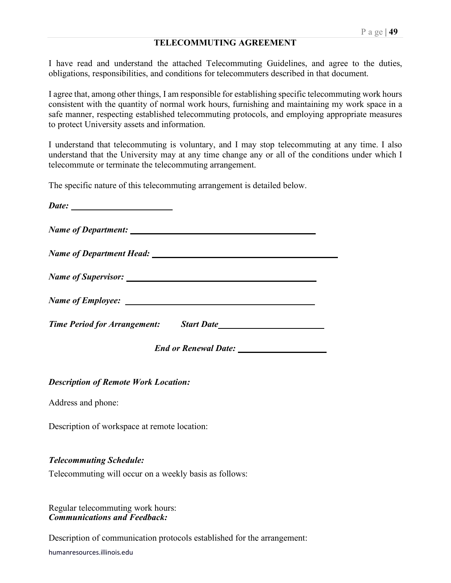#### **TELECOMMUTING AGREEMENT**

I have read and understand the attached Telecommuting Guidelines, and agree to the duties, obligations, responsibilities, and conditions for telecommuters described in that document.

I agree that, among other things, I am responsible for establishing specific telecommuting work hours consistent with the quantity of normal work hours, furnishing and maintaining my work space in a safe manner, respecting established telecommuting protocols, and employing appropriate measures to protect University assets and information.

I understand that telecommuting is voluntary, and I may stop telecommuting at any time. I also understand that the University may at any time change any or all of the conditions under which I telecommute or terminate the telecommuting arrangement.

The specific nature of this telecommuting arrangement is detailed below.

| Time Period for Arrangement: Start Date |  |
|-----------------------------------------|--|
|                                         |  |

*Description of Remote Work Location:*

Address and phone:

Description of workspace at remote location:

#### *Telecommuting Schedule:*

Telecommuting will occur on a weekly basis as follows:

Regular telecommuting work hours: *Communications and Feedback:*

Description of communication protocols established for the arrangement:

humanresources.illinois.edu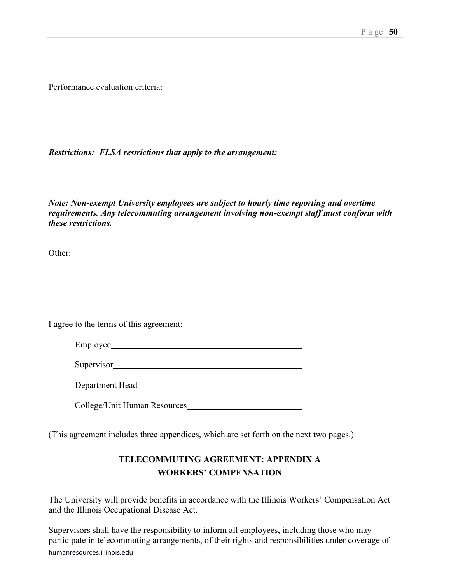Performance evaluation criteria:

*Restrictions: FLSA restrictions that apply to the arrangement:*

*Note: Non-exempt University employees are subject to hourly time reporting and overtime requirements. Any telecommuting arrangement involving non-exempt staff must conform with these restrictions.*

Other:

I agree to the terms of this agreement:

Employee

Supervisor
<u>Supervisor</u>

Department Head

College/Unit Human Resources

(This agreement includes three appendices, which are set forth on the next two pages.)

# **TELECOMMUTING AGREEMENT: APPENDIX A WORKERS' COMPENSATION**

The University will provide benefits in accordance with the Illinois Workers' Compensation Act and the Illinois Occupational Disease Act.

humanresources.illinois.edu Supervisors shall have the responsibility to inform all employees, including those who may participate in telecommuting arrangements, of their rights and responsibilities under coverage of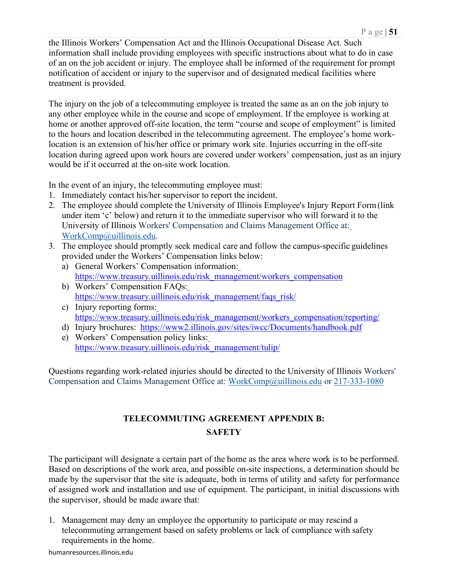the Illinois Workers' Compensation Act and the Illinois Occupational Disease Act. Such information shall include providing employees with specific instructions about what to do in case of an on the job accident or injury. The employee shall be informed of the requirement for prompt notification of accident or injury to the supervisor and of designated medical facilities where treatment is provided.

The injury on the job of a telecommuting employee is treated the same as an on the job injury to any other employee while in the course and scope of employment. If the employee is working at home or another approved off-site location, the term "course and scope of employment" is limited to the hours and location described in the telecommuting agreement. The employee's home worklocation is an extension of his/her office or primary work site. Injuries occurring in the off-site location during agreed upon work hours are covered under workers' compensation, just as an injury would be if it occurred at the on-site work location.

In the event of an injury, the telecommuting employee must:

- 1. Immediately contact his/her supervisor to report the incident.
- 2. The employee should complete the University of Illinois Employee's Injury Report Form(link under item 'c' below) and return it to the immediate supervisor who will forward it to the University of Illinois Workers' Compensation and Claims Management Office at[:](mailto:WorkComp@uillinois.edu) [WorkComp@uillinois.edu.](mailto:WorkComp@uillinois.edu)
- 3. The employee should promptly seek medical care and follow the campus-specific guidelines provided under the Workers' Compensation links below:
	- a) General Workers' Compensation information: [https://www.treasury.uillinois.edu/risk\\_management/workers\\_compensation](https://www.treasury.uillinois.edu/risk_management/workers_compensation)
	- b) Workers' Compensation FAQs: [https://www.treasury.uillinois.edu/risk\\_management/faqs\\_risk/](https://www.treasury.uillinois.edu/risk_management/faqs_risk/)
	- c) Injury reporting forms: [https://www.treasury.uillinois.edu/risk\\_management/workers\\_compensation/reporting/](https://www.treasury.uillinois.edu/risk_management/workers_compensation/reporting/)
	- d) Injury brochures: <https://www2.illinois.gov/sites/iwcc/Documents/handbook.pdf>
	- e) Workers' Compensation policy links: [https://www.treasury.uillinois.edu/risk\\_management/tulip/](https://www.treasury.uillinois.edu/risk_management/tulip/)

Questions regarding work-related injuries should be directed to the University of Illinois Workers' Compensation and Claims Management Office at: [WorkComp@uillinois.edu](mailto:WorkComp@uillinois.edu) or 217-333-1080

# **TELECOMMUTING AGREEMENT APPENDIX B: SAFETY**

The participant will designate a certain part of the home as the area where work is to be performed. Based on descriptions of the work area, and possible on-site inspections, a determination should be made by the supervisor that the site is adequate, both in terms of utility and safety for performance of assigned work and installation and use of equipment. The participant, in initial discussions with the supervisor, should be made aware that:

1. Management may deny an employee the opportunity to participate or may rescind a telecommuting arrangement based on safety problems or lack of compliance with safety requirements in the home.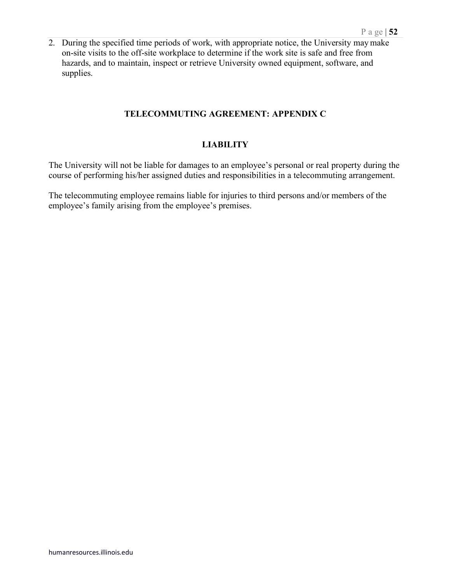2. During the specified time periods of work, with appropriate notice, the University may make on-site visits to the off-site workplace to determine if the work site is safe and free from hazards, and to maintain, inspect or retrieve University owned equipment, software, and supplies.

### **TELECOMMUTING AGREEMENT: APPENDIX C**

### **LIABILITY**

The University will not be liable for damages to an employee's personal or real property during the course of performing his/her assigned duties and responsibilities in a telecommuting arrangement.

The telecommuting employee remains liable for injuries to third persons and/or members of the employee's family arising from the employee's premises.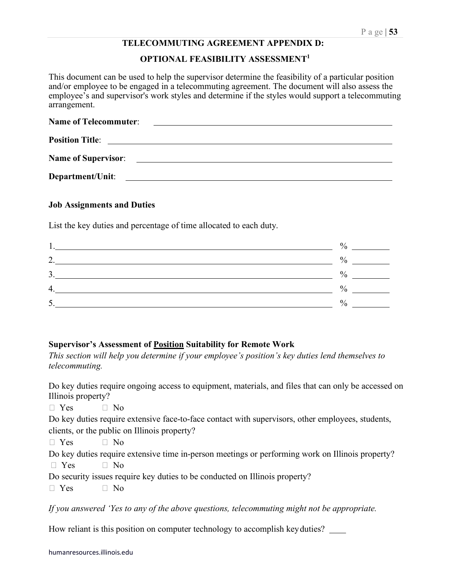#### **TELECOMMUTING AGREEMENT APPENDIX D:**

#### **OPTIONAL FEASIBILITY ASSESSMENT1**

This document can be used to help the supervisor determine the feasibility of a particular position and/or employee to be engaged in a telecommuting agreement. The document will also assess the employee's and supervisor's work styles and determine if the styles would support a telecommuting arrangement.

| <b>Name of Telecommuter:</b> | <u> 1989 - Andrea Stadt Britain, fransk politik (d. 1989)</u>                                                         |
|------------------------------|-----------------------------------------------------------------------------------------------------------------------|
| <b>Position Title:</b>       |                                                                                                                       |
|                              | Name of Supervisor:                                                                                                   |
| Department/Unit:             | <u> 1990 - Jan Barbara Santa Barat, masa sa kasas da shekara ta 1991 a 1992 a shekara tsa na shekara tsa na sheka</u> |

#### **Job Assignments and Duties**

List the key duties and percentage of time allocated to each duty.

| 1. | $\%$          |  |
|----|---------------|--|
| 2. | $\frac{0}{0}$ |  |
| 3. | $\frac{0}{0}$ |  |
| 4. | $\%$          |  |
| 5. | $\frac{0}{0}$ |  |
|    |               |  |

#### **Supervisor's Assessment of Position Suitability for Remote Work**

*This section will help you determine if your employee's position's key duties lend themselves to telecommuting.*

Do key duties require ongoing access to equipment, materials, and files that can only be accessed on Illinois property?

 $\Box$  Yes  $\Box$  No Do key duties require extensive face-to-face contact with supervisors, other employees, students, clients, or the public on Illinois property?  $\Box$  Yes  $\Box$  No Do key duties require extensive time in-person meetings or performing work on Illinois property?  $\Box$  Yes  $\Box$  No

Do security issues require key duties to be conducted on Illinois property?

 $\Box$  Yes  $\Box$  No

*If you answered 'Yes to any of the above questions, telecommuting might not be appropriate.*

How reliant is this position on computer technology to accomplish key duties?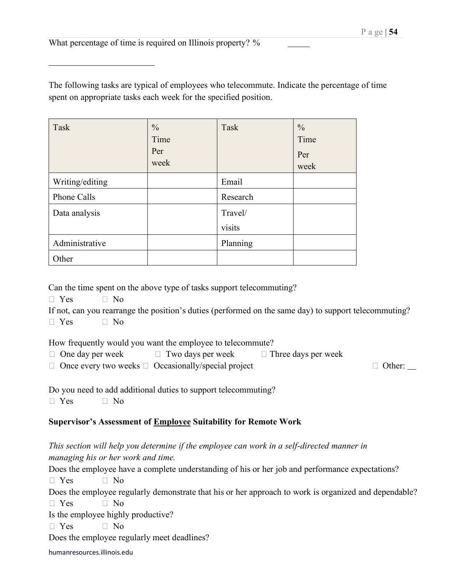What percentage of time is required on Illinois property? %

The following tasks are typical of employees who telecommute. Indicate the percentage of time spent on appropriate tasks each week for the specified position.

| Task            | $\frac{0}{0}$<br>Time<br>Per<br>week | Task     | $\frac{0}{0}$<br>Time<br>Per<br>week |
|-----------------|--------------------------------------|----------|--------------------------------------|
| Writing/editing |                                      | Email    |                                      |
| Phone Calls     |                                      | Research |                                      |
| Data analysis   |                                      | Travel/  |                                      |
|                 |                                      | visits   |                                      |
| Administrative  |                                      | Planning |                                      |
| Other           |                                      |          |                                      |

Can the time spent on the above type of tasks support telecommuting?

 $\Box$  Yes  $\Box$  No

If not, can you rearrange the position's duties (performed on the same day) to support telecommuting?  $\Box$  Yes  $\Box$  No

How frequently would you want the employee to telecommute?

 $\Box$  One day per week  $\Box$  Two days per week  $\Box$  Three days per week

 $\Box$  Once every two weeks  $\Box$  Occasionally/special project  $\Box$  Other:  $\Box$ 

Do you need to add additional duties to support telecommuting?

 $\Box$  Yes  $\Box$  No

# **Supervisor's Assessment of Employee Suitability for Remote Work**

*This section will help you determine if the employee can work in a self-directed manner in managing his or her work and time.*

Does the employee have a complete understanding of his or her job and performance expectations?

 $\Box$  Yes  $\Box$  No

Does the employee regularly demonstrate that his or her approach to work is organized and dependable?

 $\Box$  Yes  $\Box$  No

Is the employee highly productive?

 $\Box$  Yes  $\Box$  No

Does the employee regularly meet deadlines?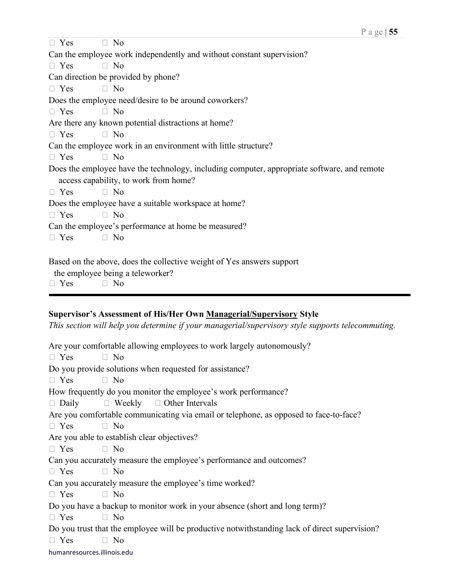| $\Box$ Yes | $\Box$ No                                                                                   |
|------------|---------------------------------------------------------------------------------------------|
|            | Can the employee work independently and without constant supervision?                       |
| $\Box$ Yes | $\Box$ No                                                                                   |
|            | Can direction be provided by phone?                                                         |
| $\Box$ Yes | $\Box$ No                                                                                   |
|            | Does the employee need/desire to be around coworkers?                                       |
| $\Box$ Yes | $\Box$ No                                                                                   |
|            | Are there any known potential distractions at home?                                         |
| $\Box$ Yes | $\Box$ No                                                                                   |
|            | Can the employee work in an environment with little structure?                              |
| $\Box$ Yes | $\Box$ No                                                                                   |
|            | Does the employee have the technology, including computer, appropriate software, and remote |
|            | access capability, to work from home?                                                       |
| $\Box$ Yes | $\Box$ No                                                                                   |
|            | Does the employee have a suitable workspace at home?                                        |
| $\Box$ Yes | $\Box$ No                                                                                   |
|            | Can the employee's performance at home be measured?                                         |
| $\Box$ Yes | $\Box$ No                                                                                   |
|            |                                                                                             |
|            | Based on the above, does the collective weight of Yes answers support                       |
|            | the employee being a teleworker?                                                            |
| $\Box$ Yes | N <sub>0</sub>                                                                              |

### **Supervisor's Assessment of His/Her Own Managerial/Supervisory Style**

*This section will help you determine if your managerial/supervisory style supports telecommuting.*

humanresources.illinois.edu Are your comfortable allowing employees to work largely autonomously?  $\Box$  Yes  $\Box$  No Do you provide solutions when requested for assistance?  $\Box$  Yes  $\Box$  No How frequently do you monitor the employee's work performance?  $\Box$  Daily  $\Box$  Weekly  $\Box$  Other Intervals Are you comfortable communicating via email or telephone, as opposed to face-to-face?  $\Box$  Yes  $\Box$  No Are you able to establish clear objectives?  $\Box$  Yes  $\Box$  No Can you accurately measure the employee's performance and outcomes?  $\Box$  Yes  $\Box$  No Can you accurately measure the employee's time worked?  $\Box$  Yes  $\Box$  No Do you have a backup to monitor work in your absence (short and long term)?  $\Box$  Yes  $\Box$  No Do you trust that the employee will be productive notwithstanding lack of direct supervision?  $\Box$  Yes  $\Box$  No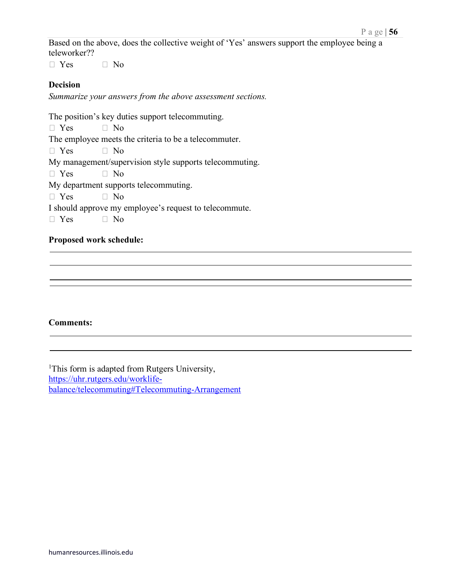Based on the above, does the collective weight of 'Yes' answers support the employee being a teleworker??

 $\Box$  Yes  $\Box$  No

### **Decision**

*Summarize your answers from the above assessment sections.*

The position's key duties support telecommuting.

 $\Box$  Yes  $\Box$  No

The employee meets the criteria to be a telecommuter.

 $\Box$  Yes  $\Box$  No

My management/supervision style supports telecommuting.

 $\Box$  Yes  $\Box$  No

My department supports telecommuting.

 $\Box$  Yes  $\Box$  No

I should approve my employee's request to telecommute.

 $\Box$  Yes  $\Box$  No

#### **Proposed work schedule:**

#### **Comments:**

<sup>1</sup>This form is adapted from Rutgers University, [https://uhr.rutgers.edu/worklife](https://uhr.rutgers.edu/worklife-balance/telecommuting#Telecommuting-Arrangement)[balance/telecommuting#Telecommuting-Arrangement](https://uhr.rutgers.edu/worklife-balance/telecommuting#Telecommuting-Arrangement)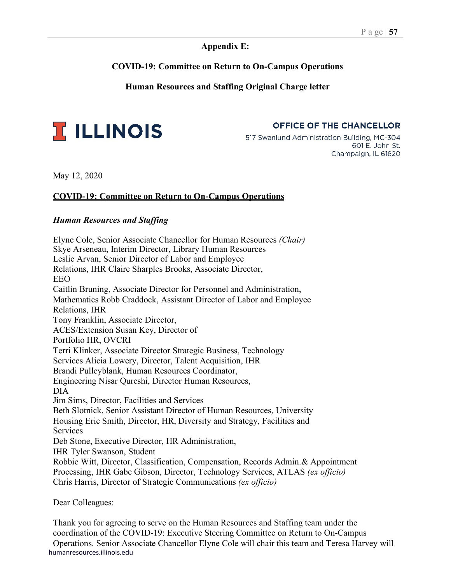#### **Appendix E:**

### **COVID-19: Committee on Return to On-Campus Operations**

### **Human Resources and Staffing Original Charge letter**



OFFICE OF THE CHANCELLOR

517 Swanlund Administration Building, MC-304 601 E. John St. Champaign, IL 61820

May 12, 2020

### **COVID-19: Committee on Return to On-Campus Operations**

#### *Human Resources and Staffing*

Elyne Cole, Senior Associate Chancellor for Human Resources *(Chair)* Skye Arseneau, Interim Director, Library Human Resources Leslie Arvan, Senior Director of Labor and Employee Relations, IHR Claire Sharples Brooks, Associate Director, EEO Caitlin Bruning, Associate Director for Personnel and Administration, Mathematics Robb Craddock, Assistant Director of Labor and Employee Relations, IHR Tony Franklin, Associate Director, ACES/Extension Susan Key, Director of Portfolio HR, OVCRI Terri Klinker, Associate Director Strategic Business, Technology Services Alicia Lowery, Director, Talent Acquisition, IHR Brandi Pulleyblank, Human Resources Coordinator, Engineering Nisar Qureshi, Director Human Resources, DIA Jim Sims, Director, Facilities and Services Beth Slotnick, Senior Assistant Director of Human Resources, University Housing Eric Smith, Director, HR, Diversity and Strategy, Facilities and Services Deb Stone, Executive Director, HR Administration, IHR Tyler Swanson, Student Robbie Witt, Director, Classification, Compensation, Records Admin.& Appointment Processing, IHR Gabe Gibson, Director, Technology Services, ATLAS *(ex officio)* Chris Harris, Director of Strategic Communications *(ex officio)*

Dear Colleagues:

humanresources.illinois.edu Thank you for agreeing to serve on the Human Resources and Staffing team under the coordination of the COVID-19: Executive Steering Committee on Return to On-Campus Operations. Senior Associate Chancellor Elyne Cole will chair this team and Teresa Harvey will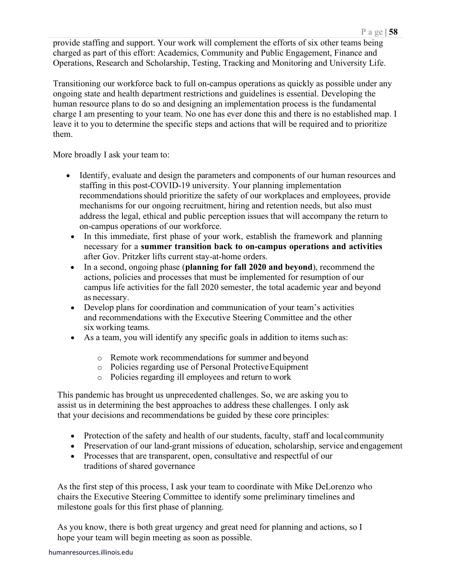provide staffing and support. Your work will complement the efforts of six other teams being charged as part of this effort: Academics, Community and Public Engagement, Finance and Operations, Research and Scholarship, Testing, Tracking and Monitoring and University Life.

Transitioning our workforce back to full on-campus operations as quickly as possible under any ongoing state and health department restrictions and guidelines is essential. Developing the human resource plans to do so and designing an implementation process is the fundamental charge I am presenting to your team. No one has ever done this and there is no established map. I leave it to you to determine the specific steps and actions that will be required and to prioritize them.

More broadly I ask your team to:

- Identify, evaluate and design the parameters and components of our human resources and staffing in this post-COVID-19 university. Your planning implementation recommendationsshould prioritize the safety of our workplaces and employees, provide mechanisms for our ongoing recruitment, hiring and retention needs, but also must address the legal, ethical and public perception issues that will accompany the return to on-campus operations of our workforce.
- In this immediate, first phase of your work, establish the framework and planning necessary for a **summer transition back to on-campus operations and activities**  after Gov. Pritzker lifts current stay-at-home orders.
- In a second, ongoing phase (**planning for fall 2020 and beyond**), recommend the actions, policies and processes that must be implemented for resumption of our campus life activities for the fall 2020 semester, the total academic year and beyond as necessary.
- Develop plans for coordination and communication of your team's activities and recommendations with the Executive Steering Committee and the other six working teams.
- As a team, you will identify any specific goals in addition to items such as:
	- o Remote work recommendations for summer and beyond
	- o Policies regarding use of Personal ProtectiveEquipment
	- o Policies regarding ill employees and return to work

This pandemic has brought us unprecedented challenges. So, we are asking you to assist us in determining the best approaches to address these challenges. I only ask that your decisions and recommendations be guided by these core principles:

- Protection of the safety and health of our students, faculty, staff and local community
- Preservation of our land-grant missions of education, scholarship, service and engagement
- Processes that are transparent, open, consultative and respectful of our traditions of shared governance

As the first step of this process, I ask your team to coordinate with Mike DeLorenzo who chairs the Executive Steering Committee to identify some preliminary timelines and milestone goals for this first phase of planning.

As you know, there is both great urgency and great need for planning and actions, so I hope your team will begin meeting as soon as possible.